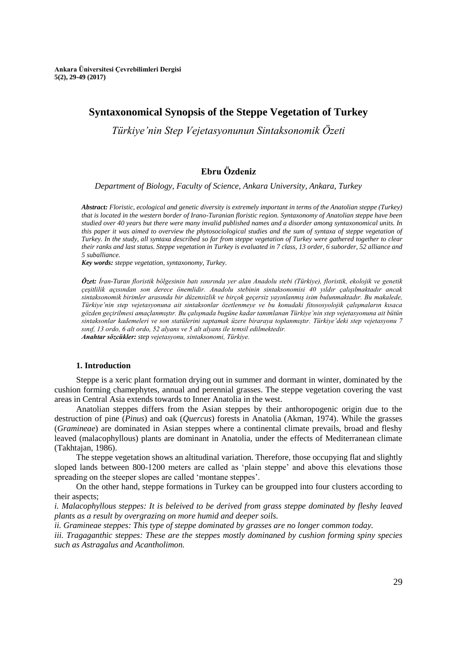# **Syntaxonomical Synopsis of the Steppe Vegetation of Turkey**

*Türkiye'nin Step Vejetasyonunun Sintaksonomik Özeti*

# **Ebru Özdeniz**

*Department of Biology, Faculty of Science, Ankara University, Ankara, Turkey*

*Abstract: Floristic, ecological and genetic diversity is extremely important in terms of the Anatolian steppe (Turkey) that is located in the western border of Irano-Turanian floristic region. Syntaxonomy of Anatolian steppe have been studied over 40 years but there were many invalid published names and a disorder among syntaxonomical units. In this paper it was aimed to overview the phytosociological studies and the sum of syntaxa of steppe vegetation of Turkey. In the study, all syntaxa described so far from steppe vegetation of Turkey were gathered together to clear their ranks and last status. Steppe vegetation in Turkey is evaluated in 7 class, 13 order, 6 suborder, 52 alliance and 5 suballiance.*

*Key words: steppe vegetation, syntaxonomy, Turkey.*

*Özet: İran-Turan floristik bölgesinin batı sınırında yer alan Anadolu stebi (Türkiye), floristik, ekolojik ve genetik çeşitlilik açısından son derece önemlidir. Anadolu stebinin sintaksonomisi 40 yıldır çalışılmaktadır ancak sintaksonomik birimler arasında bir düzensizlik ve birçok geçersiz yayınlanmış isim bulunmaktadır. Bu makalede, Türkiye'nin step vejetasyonuna ait sintaksonlar özetlenmeye ve bu konudaki fitososyolojik çalışmaların kısaca gözden geçirilmesi amaçlanmıştır. Bu çalışmada bugüne kadar tanımlanan Türkiye'nin step vejetasyonuna ait bütün sintaksonlar kademeleri ve son statülerini saptamak üzere biraraya toplanmıştır. Türkiye'deki step vejetasyonu 7 sınıf, 13 ordo, 6 alt ordo, 52 alyans ve 5 alt alyans ile temsil edilmektedir. Anahtar sözcükler: step vejetasyonu, sintaksonomi, Türkiye.*

### **1. Introduction**

Steppe is a xeric plant formation drying out in summer and dormant in winter, dominated by the cushion forming chamephytes, annual and perennial grasses. The steppe vegetation covering the vast areas in Central Asia extends towards to Inner Anatolia in the west.

Anatolian steppes differs from the Asian steppes by their anthoropogenic origin due to the destruction of pine (*Pinus*) and oak (*Quercus*) forests in Anatolia (Akman, 1974). While the grasses (*Gramineae*) are dominated in Asian steppes where a continental climate prevails, broad and fleshy leaved (malacophyllous) plants are dominant in Anatolia, under the effects of Mediterranean climate (Takhtajan, 1986).

The steppe vegetation shows an altitudinal variation. Therefore, those occupying flat and slightly sloped lands between 800-1200 meters are called as 'plain steppe' and above this elevations those spreading on the steeper slopes are called 'montane steppes'.

On the other hand, steppe formations in Turkey can be groupped into four clusters according to their aspects;

*i. Malacophyllous steppes: It is beleived to be derived from grass steppe dominated by fleshy leaved plants as a result by overgrazing on more humid and deeper soils.*

*ii. Gramineae steppes: This type of steppe dominated by grasses are no longer common today.*

*iii. Tragaganthic steppes: These are the steppes mostly dominaned by cushion forming spiny species such as Astragalus and Acantholimon.*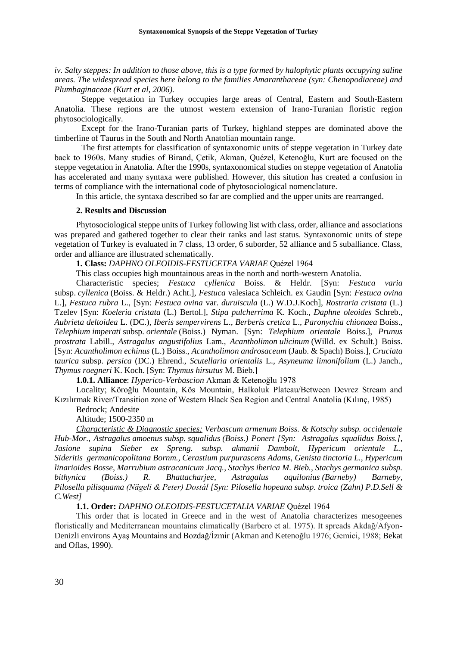*iv. Salty steppes: In addition to those above, this is a type formed by halophytic plants occupying saline areas. The widespread species here belong to the families Amaranthaceae (syn: Chenopodiaceae) and Plumbaginaceae (Kurt et al, 2006).*

Steppe vegetation in Turkey occupies large areas of Central, Eastern and South-Eastern Anatolia. These regions are the utmost western extension of Irano-Turanian floristic region phytosociologically.

Except for the Irano-Turanian parts of Turkey, highland steppes are dominated above the timberline of Taurus in the South and North Anatolian mountain range.

The first attempts for classification of syntaxonomic units of steppe vegetation in Turkey date back to 1960s. Many studies of Birand, Çetik, Akman, Quézel, Ketenoğlu, Kurt are focused on the steppe vegetation in Anatolia. After the 1990s, syntaxonomical studies on steppe vegetation of Anatolia has accelerated and many syntaxa were published. However, this sitution has created a confusion in terms of compliance with the international code of phytosociological nomenclature.

In this article, the syntaxa described so far are complied and the upper units are rearranged.

## **2. Results and Discussion**

Phytosociological steppe units of Turkey following list with class, order, alliance and associations was prepared and gathered together to clear their ranks and last status. Syntaxonomic units of stepe vegetation of Turkey is evaluated in 7 class, 13 order, 6 suborder, 52 alliance and 5 suballiance. Class, order and alliance are illustrated schematically.

## **1. Class:** *DAPHNO OLEOIDIS-FESTUCETEA VARIAE* Quézel 1964

This class occupies high mountainous areas in the north and north-western Anatolia.

Characteristic species; *Festuca cyllenica* Boiss. & Heldr. [Syn: *Festuca varia* subsp. *cyllenica* (Boiss. & Heldr.) Acht.], *Festuca* valesiaca Schleich. ex Gaudin [Syn: *Festuca ovina*  L.], *Festuca rubra* L., [Syn: *Festuca ovina* var. *duruiscula* (L.) W.D.J.Koch]*, Rostraria cristata* (L.) Tzelev [Syn: *Koeleria cristata* (L.) Bertol.], *Stipa pulcherrima* K. Koch., *Daphne oleoides* Schreb.*, Aubrieta deltoidea* L. (DC.)*, Iberis sempervirens* L.*, Berberis cretica* L.*, Paronychia chionaea* Boiss., *Telephium imperati* subsp. *orientale* [\(Boiss.\) Nyman.](http://www.theplantlist.org/tpl1.1/record/kew-2870136) [Syn: *Telephium orientale* Boiss.], *Prunus prostrata* Labill.*, Astragalus angustifolius* Lam.*, Acantholimon ulicinum* (Willd. ex Schult.) Boiss. [Syn: *Acantholimon echinus* (L.) Boiss., *Acantholimon androsaceum* (Jaub. & Spach) Boiss.], *Cruciata taurica* subsp. *persica* (DC.) Ehrend., *Scutellaria orientalis* L., *Asyneuma limonifolium* (L.) Janch.*, Thymus roegneri* [K. Koch.](http://www.theplantlist.org/tpl1.1/record/kew-205395) [Syn: *Thymus hirsutus* M. Bieb.]

**1.0.1. Alliance**: *Hyperico-Verbascion* Akman & Ketenoğlu 1978

Locality; Köroğlu Mountain, Kös Mountain, Halkoluk Plateau/Between Devrez Stream and Kızılırmak River/Transition zone of Western Black Sea Region and Central Anatolia (Kılınç, 1985)

Bedrock; Andesite

Altitude; 1500-2350 m

*Characteristic & Diagnostic species; Verbascum armenum Boiss. & Kotschy subsp. occidentale Hub-Mor., Astragalus amoenus subsp. squalidus [\(Boiss.\) Ponert](http://www.theplantlist.org/tpl1.1/record/tro-13074560) [Syn: Astragalus squalidus Boiss.], Jasione supina Sieber ex Spreng. subsp. akmanii Dambolt, Hypericum orientale L., Sideritis germanicopolitana Bornm., Cerastium purpurascens Adams, Genista tinctoria L., Hypericum linarioides Bosse, Marrubium astracanicum Jacq., Stachys iberica [M. Bieb.,](http://www.theplantlist.org/tpl1.1/record/kew-195185) Stachys germanica subsp. bithynica (Boiss.) R. Bhattacharjee, Astragalus aquilonius (Barneby) Barneby, Pilosella pilisquama (Nägeli & Peter) Dostál [Syn: Pilosella hopeana subsp. troica (Zahn) P.D.Sell & C.West]*

# **1.1. Order:** *DAPHNO OLEOIDIS-FESTUCETALIA VARIAE* Quézel 1964

This order that is located in Greece and in the west of Anatolia characterizes mesogeenes floristically and Mediterranean mountains climatically (Barbero et al. 1975). It spreads Akdağ/Afyon-Denizli environs Ayaş Mountains and Bozdağ/İzmir (Akman and Ketenoğlu 1976; Gemici, 1988; Bekat and Oflas, 1990).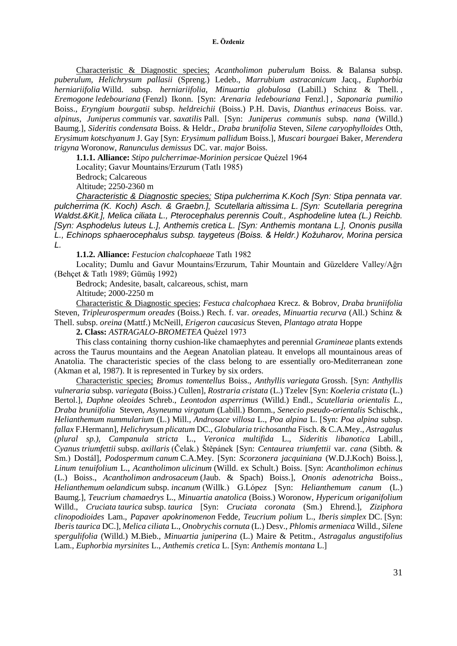Characteristic & Diagnostic species; *Acantholimon puberulum* Boiss. & Balansa subsp. *puberulum, Helichrysum pallasii* (Spreng.) Ledeb.*, Marrubium astracanicum* Jacq., *Euphorbia herniariifolia* Willd. subsp. *herniariifolia, Minuartia globulosa* (Labill.) Schinz & Thell. *, Eremogone ledebouriana* (Fenzl) Ikonn. [Syn: *Arenaria ledebouriana* Fenzl.] *, Saponaria pumilio*  Boiss.*, Eryngium bourgatii* subsp. *heldreichii* (Boiss.) P.H. Davis*, Dianthus erinaceus* Boiss. var. *alpinus, Juniperus communis* var. *saxatilis* Pall. [Syn: *Juniperus communis* subsp. *nana* (Willd.) Baumg.]*, Sideritis condensata* Boiss. & Heldr.*, Draba brunifolia* Steven*, Silene caryophylloides* Otth*, Erysimum kotschyanum* J. Gay [Syn: *Erysimum pallidum* Boiss.]*, Muscari bourgaei* Baker*, Merendera trigyna* Woronow*, Ranunculus demissus* DC. var. *major* Boiss.

**1.1.1. Alliance:** *Stipo pulcherrimae-Morinion persicae* Quézel 1964

Locality; Gavur Mountains/Erzurum (Tatlı 1985)

Bedrock; Calcareous

Altitude; 2250-2360 m

*Characteristic & Diagnostic species; Stipa pulcherrima K.Koch [Syn: Stipa pennata var. pulcherrima (K. Koch) Asch. & Graebn.], Scutellaria altissima L. [Syn: Scutellaria peregrina Waldst.&Kit.], Melica ciliata L., Pterocephalus perennis Coult., Asphodeline lutea (L.) Reichb. [Syn: Asphodelus luteus L.], Anthemis cretica L. [Syn: Anthemis montana L.], Ononis pusilla L., Echinops sphaerocephalus subsp. taygeteus (Boiss. & Heldr.) Kožuharov, Morina persica L.*

**1.1.2. Alliance:** *Festucion chalcophaeae* Tatlı 1982

Locality; Dumlu and Gavur Mountains/Erzurum, Tahir Mountain and Güzeldere Valley/Ağrı (Behçet & Tatlı 1989; Gümüş 1992)

Bedrock; Andesite, basalt, calcareous, schist, marn Altitude; 2000-2250 m

Characteristic & Diagnostic species; *Festuca chalcophaea* Krecz. & Bobrov*, Draba bruniifolia*  Steven*, Tripleurospermum oreades* (Boiss.) Rech. f. var. *oreades, Minuartia recurva* (All.) Schinz & Thell. subsp. *oreina* (Mattf.) McNeill*, Erigeron caucasicus* Steven*, Plantago atrata* Hoppe

**2. Class:** *ASTRAGALO-BROMETEA* Quézel 1973

This class containing thorny cushion-like chamaephytes and perennial *Gramineae* plants extends across the Taurus mountains and the Aegean Anatolian plateau. It envelops all mountainous areas of Anatolia. The characteristic species of the class belong to are essentially oro-Mediterranean zone (Akman et al, 1987). It is represented in Turkey by six orders.

Characteristic species; *Bromus tomentellus* Boiss., *Anthyllis variegata* Grossh. [Syn: *Anthyllis vulneraria* subsp. *variegata* (Boiss.) Cullen], *Rostraria cristata* (L.) Tzelev [Syn: *Koeleria cristata* (L.) Bertol.], *Daphne oleoides* Schreb.*, Leontodon asperrimus* (Willd.) Endl.*, Scutellaria orientalis L., Draba bruniifolia* Steven*, Asyneuma virgatum* (Labill.) Bornm.*, Senecio pseudo-orientalis* Schischk.*, Helianthemum nummularium* (L.) Mill.*, Androsace villosa* L., *Poa alpina* L. [Syn: *Poa alpina* subsp. *fallax* F.Hermann]*, Helichrysum plicatum* DC., *Globularia trichosantha* Fisch. & C.A.Mey.*, Astragalus (plural sp.), Campanula stricta* L., *Veronica multifida* L., *Sideritis libanotica* Labill.*, Cyanus triumfettii* subsp. *axillaris* (Čelak.) Štěpánek [Syn: *Centaurea triumfettii* var. *cana* (Sibth. & Sm.) Dostál]*, Podospermum canum* C.A.Mey. [Syn: *Scorzonera jacquiniana* (W.D.J.Koch) Boiss.]*, Linum tenuifolium* L., *Acantholimon ulicinum* (Willd. ex Schult.) Boiss. [Syn: *Acantholimon echinus*  (L.) Boiss., *Acantholimon androsaceum* (Jaub. & Spach) Boiss.], *Ononis adenotricha* Boiss.*, Helianthemum oelandicum* subsp. *incanum* (Willk.) G.López [Syn: *Helianthemum canum* (L.) Baumg.]*, Teucrium chamaedrys* L., *Minuartia anatolica* (Boiss.) Woronow*, Hypericum origanifolium* Willd.*, Cruciata taurica* subsp. *taurica* [Syn: *Cruciata coronata* (Sm.) Ehrend.]*, Ziziphora clinopodioides* Lam.*, Papaver apokrinomenon* Fedde*, Teucrium polium* L., *Iberis simplex* DC. [Syn: *Iberis taurica* DC.], *Melica ciliata* L., *Onobrychis cornuta* (L.) Desv.*, Phlomis armeniaca* Willd.*, Silene spergulifolia* (Willd.) M.Bieb.*, Minuartia juniperina* (L.) Maire & Petitm.*, Astragalus angustifolius* Lam.*, Euphorbia myrsinites* L., *Anthemis cretica* L. [Syn: *Anthemis montana* L.]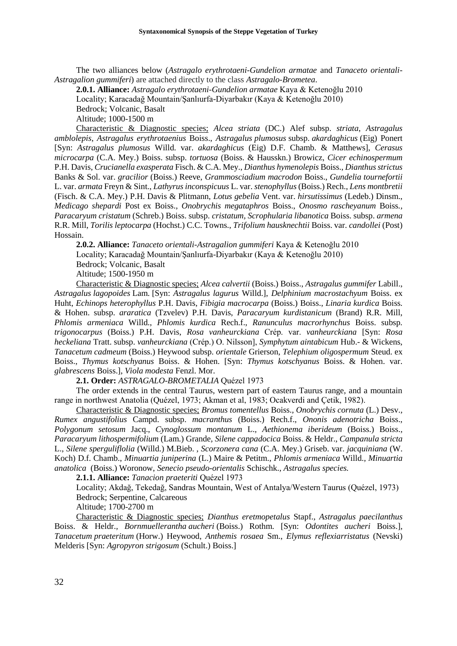The two alliances below (*Astragalo erythrotaeni-Gundelion armatae* and *Tanaceto orientali-Astragalion gummiferi*) are attached directly to the class *Astragalo-Brometea*.

**2.0.1. Alliance:** *Astragalo erythrotaeni-Gundelion armatae* Kaya & Ketenoğlu 2010

Locality; Karacadağ Mountain/Şanlıurfa-Diyarbakır (Kaya & Ketenoğlu 2010)

Bedrock; Volcanic, Basalt

Altitude; 1000-1500 m

Characteristic & Diagnostic species; *Alcea striata* (DC.) Alef subsp. *striata*, *Astragalus amblolepis*, *Astragalus erythrotaenius* Boiss., *Astragalus plumosus* subsp. *akardaghicus* (Eig) Ponert [Syn: *Astragalus plumosus* Willd. var. *akardaghicus* (Eig) D.F. Chamb. & Matthews], *Cerasus microcarpa* (C.A. Mey.) Boiss. subsp. *tortuosa* (Boiss. & Hausskn.) Browicz, *Cicer echinospermum* P.H. Davis, *Crucianella exasperata* Fisch. & C.A. Mey., *Dianthus hymenolepis* Boiss., *Dianthus strictus* Banks & Sol. var. *gracilior* (Boiss.) Reeve, *Grammosciadium macrodon* Boiss., *Gundelia tournefortii* L. var. *armata* Freyn & Sint., *Lathyrus inconspicuus* L. var. *stenophyllus* (Boiss.) Rech., *Lens montbretii* (Fisch. & C.A. Mey.) P.H. Davis & Plitmann, *Lotus gebelia* Vent. var. *hirsutissimus* (Ledeb.) Dinsm., *Medicago shepardi* Post ex Boiss., *Onobrychis megataphros* Boiss., *Onosmo rascheyanum* Boiss*., Paracaryum cristatum* (Schreb.) Boiss. subsp. *cristatum, Scrophularia libanotica* Boiss. subsp. *armena* R.R. Mill, *Torilis leptocarpa* (Hochst.) C.C. Towns., *Trifolium hausknechtii* Boiss. var. *candollei* (Post) Hossain.

**2.0.2. Alliance:** *Tanaceto orientali-Astragalion gummiferi* Kaya & Ketenoğlu 2010 Locality; Karacadağ Mountain/Şanlıurfa-Diyarbakır (Kaya & Ketenoğlu 2010) Bedrock; Volcanic, Basalt Altitude; 1500-1950 m

Characteristic & Diagnostic species; *Alcea calvertii* (Boiss.) Boiss., *Astragalus gummifer* Labill., *Astragalus lagopoides* Lam. [Syn: *Astragalus lagurus* Willd.], *Delphinium macrostachyum* Boiss. ex Huht, *Echinops heterophyllus* P.H. Davis, *Fibigia macrocarpa* (Boiss.) Boiss., *Linaria kurdica* Boiss. & Hohen. subsp. *araratica* (Tzvelev) P.H. Davis, *Paracaryum kurdistanicum* (Brand) R.R. Mill, *Phlomis armeniaca* Willd., *Phlomis kurdica* Rech.f., *Ranunculus macrorhynchus* Boiss. subsp*. trigonocarpus* (Boiss.) P.H. Davis, *Rosa vanheurckiana* Crép. var. *vanheurckiana* [Syn: *Rosa heckeliana* Tratt. subsp. *vanheurckiana* (Crép.) O. Nilsson], *Symphytum aintabicum* Hub.- & Wickens, *Tanacetum cadmeum* (Boiss.) Heywood subsp. *orientale* Grierson, *Telephium oligospermum* Steud. ex Boiss., *Thymus kotschyanus* Boiss. & Hohen. [Syn: *Thymus kotschyanus* Boiss. & Hohen. var. *glabrescens* Boiss.], *Viola modesta* Fenzl. Mor.

**2.1. Order:** *ASTRAGALO-BROMETALIA* Quézel 1973

The order extends in the central Taurus, western part of eastern Taurus range, and a mountain range in northwest Anatolia (Quézel, 1973; Akman et al, 1983; Ocakverdi and Çetik, 1982).

Characteristic & Diagnostic species; *Bromus tomentellus* Boiss.*, Onobrychis cornuta* (L.) Desv.*, Rumex angustifolius* Campd. subsp. *macranthus* (Boiss.) Rech.f., *Ononis adenotricha* Boiss., *Polygonum setosum* Jacq., *Cynoglossum montanum* L.*, Aethionema iberideum* (Boiss.) Boiss.*, Paracaryum lithospermifolium* (Lam.) Grande*, Silene cappadocica* Boiss. & Heldr.*, Campanula stricta*  L., *Silene sperguliflolia* (Willd.) M.Bieb. *, Scorzonera cana* (C.A. Mey.) Griseb. var. *jacquiniana* (W. Koch) D.f. Chamb., *Minuartia juniperina* (L.) Maire & Petitm.*, Phlomis armeniaca* Willd.*, Minuartia anatolica* (Boiss.) Woronow, *Senecio pseudo-orientalis* Schischk.*, Astragalus species.*

**2.1.1. Alliance:** *Tanacion praeteriti* Quézel 1973

Locality; Akdağ, Tekedağ, Sandras Mountain, West of Antalya/Western Taurus (Quézel, 1973) Bedrock; Serpentine, Calcareous

Altitude; 1700-2700 m

Characteristic & Diagnostic species; *Dianthus eretmopetalus* Stapf., *Astragalus paecilanthus*  Boiss. & Heldr.*, Bornmuellerantha aucheri* (Boiss.) Rothm. [Syn: *Odontites aucheri* Boiss.]*, Tanacetum praeteritum* (Horw.) Heywood, *Anthemis rosaea* Sm., *Elymus reflexiarristatus* (Nevski) Melderis [Syn: *Agropyron strigosum* (Schult.) Boiss.]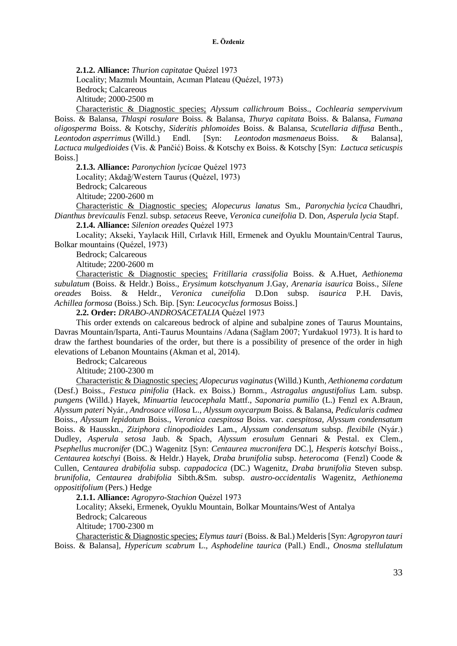**2.1.2. Alliance:** *Thurion capitatae* Quézel 1973 Locality; Mazmılı Mountain, Acıman Plateau (Quézel, 1973) Bedrock; Calcareous Altitude; 2000-2500 m

Characteristic & Diagnostic species; *Alyssum callichroum* Boiss., *Cochlearia sempervivum* Boiss. & Balansa*, Thlaspi rosulare* Boiss. & Balansa*, Thurya capitata* Boiss. & Balansa*, Fumana oligosperma* Boiss. & Kotschy*, Sideritis phlomoides* Boiss. & Balansa*, Scutellaria diffusa* Benth.*, Leontodon asperrimus* (Willd.) Endl. [Syn: *Leontodon masmenaeus* Boiss. & Balansa]*, Lactuca mulgedioides* (Vis. & Pančić) Boiss. & Kotschy ex Boiss. & Kotschy [Syn: *Lactuca seticuspis*  Boiss.]

**2.1.3. Alliance:** *Paronychion lycicae* Quézel 1973 Locality; Akdağ/Western Taurus (Quézel, 1973) Bedrock; Calcareous Altitude; 2200-2600 m

Characteristic & Diagnostic species; *Alopecurus lanatus* Sm., *Paronychia lycica* Chaudhri*, Dianthus brevicaulis* Fenzl. subsp. *setaceus* Reeve, *Veronica cuneifolia* D. Don*, Asperula lycia* Stapf.

**2.1.4. Alliance:** *Silenion oreades* Quézel 1973

Locality; Akseki, Yaylacık Hill, Cırlavık Hill, Ermenek and Oyuklu Mountain/Central Taurus, Bolkar mountains (Quézel, 1973)

Bedrock; Calcareous

Altitude; 2200-2600 m

Characteristic & Diagnostic species; *Fritillaria crassifolia* Boiss. & A.Huet*, Aethionema subulatum* (Boiss. & Heldr.) Boiss.*, Erysimum kotschyanum* J.Gay*, Arenaria isaurica* Boiss.*, Silene oreades* Boiss. & Heldr.*, Veronica cuneifolia* D.Don subsp. *isaurica* P.H. Davis*, Achillea formosa* (Boiss.) Sch. Bip. [Syn: *Leucocyclus formosus* Boiss.]

**2.2. Order:** *DRABO-ANDROSACETALIA* Quézel 1973

This order extends on calcareous bedrock of alpine and subalpine zones of Taurus Mountains, Davras Mountain/Isparta, Anti-Taurus Mountains /Adana (Sağlam 2007; Yurdakuol 1973). It is hard to draw the farthest boundaries of the order, but there is a possibility of presence of the order in high elevations of Lebanon Mountains (Akman et al, 2014).

Bedrock; Calcareous

Altitude; 2100-2300 m

Characteristic & Diagnostic species; *Alopecurus vaginatus* (Willd.) Kunth*, Aethionema cordatum* (Desf.) Boiss.*, Festuca pinifolia* (Hack. ex Boiss.) Bornm.*, Astragalus angustifolius* Lam. subsp. *pungen*s (Willd.) Hayek*, Minuartia leucocephala* Mattf., *Saponaria pumilio* (L.) Fenzl ex A.Braun*, Alyssum pateri* Nyár.*, Androsace villosa* L.*, Alyssum oxycarpum* Boiss. & Balansa, *Pedicularis cadmea* Boiss.*, Alyssum lepidotum* Boiss., *Veronica caespitosa* Boiss. var. *caespitosa, Alyssum condensatum* Boiss. & Hausskn., *Ziziphora clinopodioides* Lam., *Alyssum condensatum* subsp. *flexibile* (Nyár.) Dudley, *Asperula setosa* Jaub. & Spach, *Alyssum erosulum* Gennari & Pestal. ex Clem.*, Psephellus mucronifer* (DC.) Wagenitz [Syn: *Centaurea mucronifera* DC.], *Hesperis kotschyi* Boiss., *Centaurea kotschyi* (Boiss. & Heldr.) Hayek, *Draba brunifolia* subsp. *heterocoma* (Fenzl) Coode & Cullen, *Centaurea drabifolia* subsp. *cappadocica* (DC.) Wagenitz, *Draba brunifolia* Steven subsp. *brunifolia, Centaurea drabifolia* Sibth.&Sm. subsp. *austro-occidentalis* Wagenitz, *Aethionema oppositifolium* (Pers.) Hedge

**2.1.1. Alliance:** *Agropyro-Stachion* Quézel 1973

Locality; Akseki, Ermenek, Oyuklu Mountain, Bolkar Mountains/West of Antalya

Bedrock; Calcareous

Altitude; 1700-2300 m

Characteristic & Diagnostic species; *Elymus tauri* (Boiss. & Bal.) Melderis[Syn: *Agropyron tauri* Boiss. & Balansa]*, Hypericum scabrum* L.*, Asphodeline taurica* (Pall.) Endl., *Onosma stellulatum*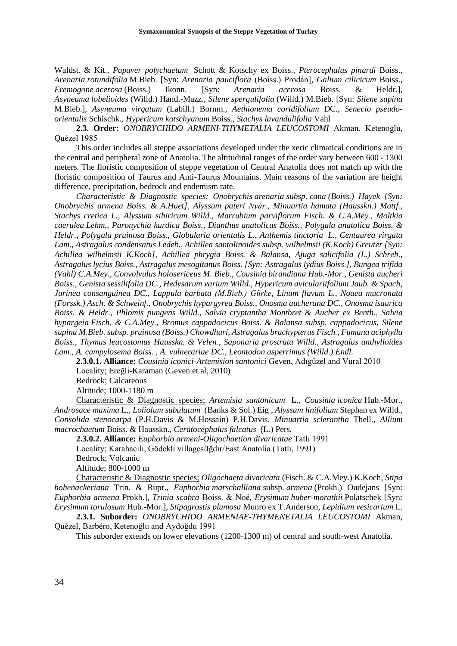Waldst. & Kit.*, Papaver polychaetum* Schott & Kotschy ex Boiss.*, Pterocephalus pinardi* Boiss.*, Arenaria rotundifolia* M.Bieb. [Syn: *Arenaria pauciflora* (Boiss.) Prodán]*, Galium cilicicum* Boiss.*, Eremogone acerosa* (Boiss.) Ikonn. [Syn: *Arenaria acerosa* Boiss. & Heldr.]*, Asyneuma lobelioides* (Willd.) Hand.-Mazz.*, Silene spergulifolia* (Willd.) M.Bieb. [Syn: *Silene supina* M.Bieb.], *Asyneuma virgatum* (Labill.) Bornm.*, Aethionema coridifolium* DC.*, Senecio pseudoorientalis* Schischk.*, Hypericum kotschyanum* Boiss., *Stachys lavandulifolia* Vahl

**2.3. Order:** *ONOBRYCHIDO ARMENI-THYMETALIA LEUCOSTOMI* Akman, Ketenoğlu, Quézel 1985

This order includes all steppe associations developed under the xeric climatical conditions are in the central and peripheral zone of Anatolia. The altitudinal ranges of the order vary between 600 - 1300 meters. The floristic composition of steppe vegetation of Central Anatolia does not match up with the floristic composition of Taurus and Anti-Taurus Mountains. Main reasons of the variation are height difference, precipitation, bedrock and endemism rate.

*Characteristic & Diagnostic species; Onobrychis arenaria subsp. cana (Boiss.) Hayek [Syn: Onobrychis armena Boiss. & A.Huet], Alyssum pateri Nyár., Minuartia hamata (Hausskn.) Mattf., Stachys cretica L., Alyssum sibiricum Willd., Marrubium parviflorum Fisch. & C.A.Mey., Moltkia caerulea Lehm., Paronychia kurdica Boiss., Dianthus anatolicus Boiss., Polygala anatolica Boiss. & Heldr., Polygala pruinosa Boiss., Globularia orientalis L., Anthemis tinctoria L., Centaurea virgata Lam., Astragalus condensatus Ledeb., Achillea santolinoides subsp. wilhelmsii (K.Koch) Greuter [Syn: Achillea wilhelmsii K.Koch], Achillea phrygia Boiss. & Balansa, Ajuga salicifolia (L.) Schreb., Astragalus lycius Boiss., Astragalus mesogitanus Boiss. [Syn: Astragalus lydius Boiss.], Bungea trifida (Vahl) C.A.Mey., Convolvulus holosericeus M. Bieb., Cousinia birandiana Hub.-Mor., Genista aucheri Boiss., Genista sessilifolia DC., Hedysarum varium Willd., Hypericum aviculariifolium Jaub. & Spach, Jurinea consanguinea DC., Lappula barbata (M.Bieb.) Gürke, Linum flavum L., Noaea mucronata (Forssk.) Asch. & Schweinf., Onobrychis hypargyrea Boiss., Onosma aucherana DC., Onosma isaurica Boiss. & Heldr., Phlomis pungens Willd., Salvia cryptantha Montbret & Aucher ex Benth., Salvia hypargeia Fisch. & C.A.Mey., Bromus cappadocicus Boiss. & Balansa subsp. cappadocicus, Silene supina M.Bieb. subsp. pruinosa (Boiss.) Chowdhuri, Astragalus brachypterus Fisch., Fumana aciphylla Boiss., Thymus leucostomus Hausskn. & Velen., Saponaria prostrata Willd., Astragalus anthylloides Lam., A. campylosema Boiss. , A. vulnerariae DC., Leontodon asperrimus (Willd.) Endl.*

**2.3.0.1. Alliance:** *Cousinia iconici-Artemision santonici* Geven, Adıgüzel and Vural 2010 Locality; Ereğli-Karaman (Geven et al, 2010)

Bedrock; Calcareous

Altitude; 1000-1180 m

Characteristic & Diagnostic species; *Artemisia santonicum* L.*, Cousinia iconica* Hub.-Mor.*, Androsace maxima* L.*, Loliolum subulatum* (Banks & Sol.) Eig *, Alyssum linifolium* Stephan ex Willd.*, Consolida stenocarpa* (P.H.Davis & M.Hossain) P.H.Davis*, Minuartia sclerantha* Thell.*, Allium macrochaetum* Boiss. & Hausskn.*, Ceratocephalus falcatus* (L.) Pers*.* 

**2.3.0.2. Alliance:** *Euphorbio armeni-Oligochaetion divaricatae* Tatlı 1991 Locality; Karahacılı, Gödekli villages/Iğdır/East Anatolia (Tatlı, 1991) Bedrock; Volcanic Altitude; 800-1000 m

Characteristic & Diagnostic species; *Oligochaeta divaricata* (Fisch. & C.A.Mey.) K.Koch*, Stipa hohenackeriana* Trin. & Rupr.*, Euphorbia marschalliana* subsp. *armena* (Prokh.) Oudejans [Syn: *Euphorbia armena* Prokh.]*, Trinia scabra* Boiss. & Noë*, Erysimum huber-morathii* Polatschek [Syn: *Erysimum torulosum* Hub.-Mor.]*, Stipagrostis plumosa* Munro ex T.Anderson*, Lepidium vesicarium* L.

**2.3.1. Suborder:** *ONOBRYCHIDO ARMENIAE-THYMENETALIA LEUCOSTOMI* Akman, Quézel, Barbéro, Ketenoğlu and Aydoğdu 1991

This suborder extends on lower elevations (1200-1300 m) of central and south-west Anatolia.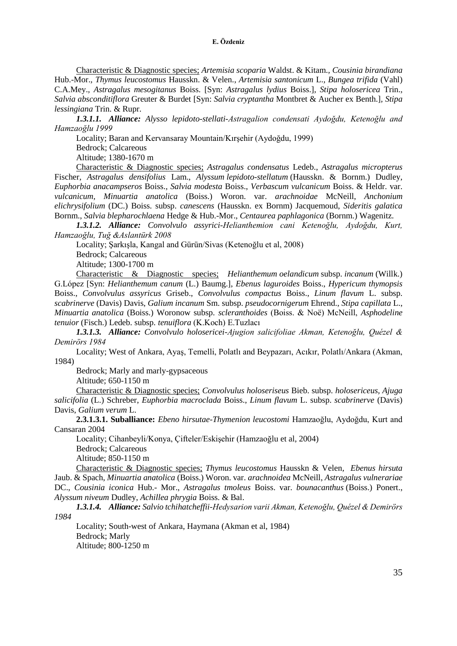Characteristic & Diagnostic species; *Artemisia scoparia* Waldst. & Kitam.*, Cousinia birandiana* Hub.-Mor.*, Thymus leucostomus* Hausskn. & Velen., *Artemisia santonicum* L.*, Bungea trifida* (Vahl) C.A.Mey.*, Astragalus mesogitanus* Boiss. [Syn: *Astragalus lydius* Boiss.]*, Stipa holosericea* Trin.*, Salvia absconditiflora* Greuter & Burdet [Syn: *Salvia cryptantha* Montbret & Aucher ex Benth.]*, Stipa lessingiana* Trin. & Rupr.

*1.3.1.1. Alliance: Alysso lepidoto-stellati-Astragalion condensati Aydoğdu, Ketenoğlu and Hamzaoğlu 1999* 

Locality; Baran and Kervansaray Mountain/Kırşehir (Aydoğdu, 1999)

Bedrock; Calcareous

Altitude; 1380-1670 m

Characteristic & Diagnostic species; *Astragalus condensatus* Ledeb., *Astragalus micropterus* Fischer, *Astragalus densifolius* Lam., *Alyssum lepidoto-stellatum* (Hausskn. & Bornm.) Dudley, *Euphorbia anacampseros* Boiss.*, Salvia modesta* Boiss., *Verbascum vulcanicum* Boiss. & Heldr. var. *vulcanicum, Minuartia anatolica* (Boiss.) Woron. var. *arachnoidae* McNeill, *Anchonium elichrysifolium* (DC.) Boiss. subsp. *canescens* (Hausskn. ex Bornm) Jacquemoud, *Sideritis galatica* Bornm., *Salvia blepharochlaena* Hedge & Hub.-Mor., *Centaurea paphlagonica* (Bornm.) Wagenitz.

*1.3.1.2. Alliance: Convolvulo assyrici-Helianthemion cani Ketenoğlu, Aydoğdu, Kurt, Hamzaoğlu, Tuğ &Aslantürk 2008* 

Locality; Şarkışla, Kangal and Gürün/Sivas (Ketenoğlu et al, 2008)

Bedrock; Calcareous

Altitude; 1300-1700 m

Characteristic & Diagnostic species; *Helianthemum oelandicum* subsp. *incanum* (Willk.) G.López [Syn: *Helianthemum canum* (L.) Baumg.], *Ebenus laguroides* Boiss., *Hypericum thymopsis* Boiss., *Convolvulus assyricus* Griseb., *Convolvulus compactus* Boiss., *Linum flavum* L. subsp. *scabrinerve* (Davis) Davis, *Galium incanum* Sm. subsp. *pseudocornigerum* Ehrend., *Stipa capillata* L., *Minuartia anatolica* (Boiss.) Woronow subsp. *scleranthoides* (Boiss. & Noë) McNeill, *Asphodeline tenuior* (Fisch.) Ledeb. subsp. *tenuiflora* (K.Koch) E.Tuzlacı

*1.3.1.3. Alliance: Convolvulo holosericei-Ajugion salicifoliae Akman, Ketenoğlu, Quézel & Demirörs 1984* 

Locality; West of Ankara, Ayaş, Temelli, Polatlı and Beypazarı, Acıkır, Polatlı/Ankara (Akman, 1984)

Bedrock; Marly and marly-gypsaceous

Altitude; 650-1150 m

Characteristic & Diagnostic species; *Convolvulus holoseriseus* Bieb. subsp. *holosericeus, Ajuga salicifolia* (L.) Schreber, *Euphorbia macroclada* Boiss., *Linum flavum* L. subsp. *scabrinerve* (Davis) Davis, *Galium verum* L.

**2.3.1.3.1. Suballiance:** *Ebeno hirsutae-Thymenion leucostomi* Hamzaoğlu, Aydoğdu, Kurt and Cansaran 2004

Locality; Cihanbeyli/Konya, Çifteler/Eskişehir (Hamzaoğlu et al, 2004)

Bedrock; Calcareous

Altitude; 850-1150 m

Characteristic & Diagnostic species; *Thymus leucostomus* Hausskn & Velen*, Ebenus hirsuta* Jaub. & Spach, *Minuartia anatolica* (Boiss.) Woron. var. *arachnoidea* McNeill, *Astragalus vulnerariae* DC., *Cousinia iconica* Hub.- Mor., *Astragalus tmoleus* Boiss. var. *bounacanthus* [\(Boiss.\) Ponert.](http://www.theplantlist.org/tpl1.1/record/tro-13041890), *Alyssum niveum* Dudley, *Achillea phrygia* Boiss. & Bal.

*1.3.1.4. Alliance: Salvio tchihatcheffii-Hedysarion varii Akman, Ketenoğlu, Quézel & Demirörs 1984* 

Locality; South-west of Ankara, Haymana (Akman et al, 1984) Bedrock; Marly Altitude; 800-1250 m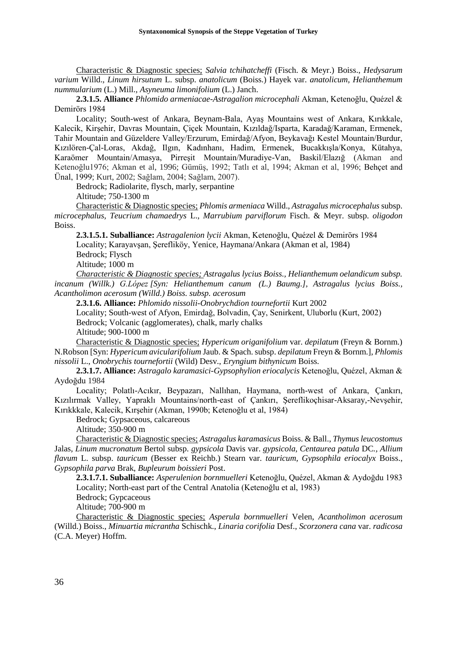Characteristic & Diagnostic species; *Salvia tchihatcheffi* (Fisch. & Meyr.) Boiss., *Hedysarum varium* Willd.*, Linum hirsutum* L. subsp. *anatolicum* (Boiss.) Hayek var. *anatolicum, Helianthemum nummularium* (L.) Mill.*, Asyneuma limonifolium* (L.) Janch.

**2.3.1.5. Alliance** *Phlomido armeniacae-Astragalion microcephali* Akman, Ketenoğlu, Quézel & Demirörs 1984

Locality; South-west of Ankara, Beynam-Bala, Ayaş Mountains west of Ankara, Kırıkkale, Kalecik, Kirşehir, Davras Mountain, Çiçek Mountain, Kızıldağ/Isparta, Karadağ/Karaman, Ermenek, Tahir Mountain and Güzeldere Valley/Erzurum, Emirdağ/Afyon, Beykavağı Kestel Mountain/Burdur, Kızılören-Çal-Loras, Akdağ, Ilgın, Kadınhanı, Hadim, Ermenek, Bucakkışla/Konya, Kütahya, Karaömer Mountain/Amasya, Pirreşit Mountain/Muradiye-Van, Baskil/Elazığ (Akman and Ketenoğlu1976; Akman et al, 1996; Gümüş, 1992; Tatlı et al, 1994; Akman et al, 1996; Behçet and Ünal, 1999; Kurt, 2002; Sağlam, 2004; Sağlam, 2007).

Bedrock; Radiolarite, flysch, marly, serpantine

Altitude; 750-1300 m

Characteristic & Diagnostic species; *Phlomis armeniaca* Willd., *Astragalus microcephalus* subsp. *microcephalus, Teucrium chamaedrys* L.*, Marrubium parviflorum* Fisch. & Meyr. subsp. *oligodon*  Boiss.

**2.3.1.5.1. Suballiance:** *Astragalenion lycii* Akman, Ketenoğlu, Quézel & Demirörs 1984 Locality; Karayavşan, Şerefliköy, Yenice, Haymana/Ankara (Akman et al, 1984) Bedrock; Flysch

Altitude; 1000 m

*Characteristic & Diagnostic species; Astragalus lycius Boiss., Helianthemum oelandicum subsp. incanum (Willk.) G.López [Syn: Helianthemum canum (L.) Baumg.], Astragalus lycius Boiss., Acantholimon acerosum (Willd.) Boiss. subsp. acerosum*

**2.3.1.6. Alliance:** *Phlomido nissolii-Onobrychdion tournefortii* Kurt 2002

Locality; South-west of Afyon, Emirdağ, Bolvadin, Çay, Senirkent, Uluborlu (Kurt, 2002) Bedrock; Volcanic (agglomerates), chalk, marly chalks Altitude; 900-1000 m

Characteristic & Diagnostic species; *Hypericum origanifolium* var. *depilatum* (Freyn & Bornm.)

N.Robson [Syn: *Hypericum avicularifolium* Jaub. & Spach. subsp. *depilatum* Freyn & Bornm.]*, Phlomis nissolii* L., *Onobrychis tournefortii* (Wild) Desv., *Eryngium bithynicum* Boiss.

**2.3.1.7. Alliance:** *Astragalo karamasici-Gypsophylion eriocalycis* Ketenoğlu, Quézel, Akman & Aydoğdu 1984

Locality; Polatlı-Acıkır, Beypazarı, Nallıhan, Haymana, north-west of Ankara, Çankırı, Kızılırmak Valley, Yapraklı Mountains/north-east of Çankırı, Şereflikoçhisar-Aksaray,-Nevşehir, Kırıkkkale, Kalecik, Kırşehir (Akman, 1990b; Ketenoğlu et al, 1984)

Bedrock; Gypsaceous, calcareous

Altitude; 350-900 m

Characteristic & Diagnostic species; *Astragalus karamasicus* Boiss. & Ball., *Thymus leucostomus* Jalas*, Linum mucronatum* Bertol subsp. *gypsicola* Davis var. *gypsicola*, *Centaurea patula* DC*., Allium flavum* L. subsp. *tauricum* (Besser ex Reichb.) Stearn var. *tauricum, Gypsophila eriocalyx* Boiss., *Gypsophila parva* Brak, *Bupleurum boissieri* Post.

**2.3.1.7.1. Suballiance:** *Asperulenion bornmuelleri* Ketenoğlu, Quézel, Akman & Aydoğdu 1983 Locality; North-east part of the Central Anatolia (Ketenoğlu et al, 1983)

Bedrock; Gypcaceous

Altitude; 700-900 m

Characteristic & Diagnostic species; *Asperula bornmuelleri* Velen, *Acantholimon acerosum*  (Willd.) Boiss., *Minuartia micrantha* Schischk., *Linaria corifolia* Desf., *Scorzonera cana* var. *radicosa*  (C.A. Meyer) Hoffm.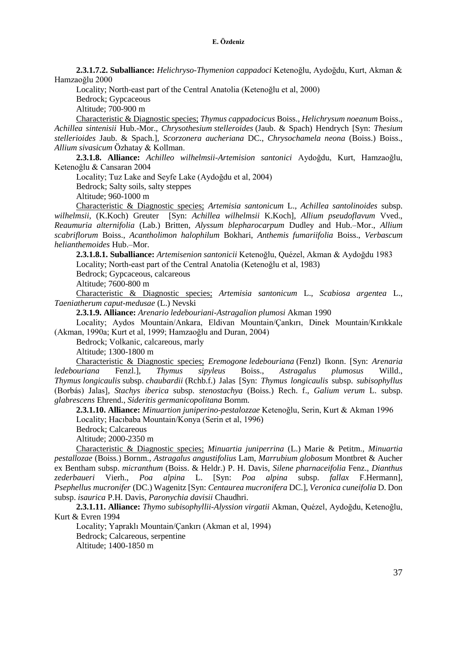**2.3.1.7.2. Suballiance:** *Helichryso-Thymenion cappadoci* Ketenoğlu, Aydoğdu, Kurt, Akman & Hamzaoğlu 2000

Locality; North-east part of the Central Anatolia (Ketenoğlu et al, 2000)

Bedrock; Gypcaceous

Altitude; 700-900 m

Characteristic & Diagnostic species; *Thymus cappadocicus* Boiss., *Helichrysum noeanum* Boiss., *Achillea sintenisii* Hub.-Mor., *Chrysothesium stelleroides* (Jaub. & Spach) Hendrych [Syn: *Thesium stellerioides* Jaub. & Spach.], *Scorzonera aucheriana* DC., *Chrysochamela neona* (Boiss.) Boiss., *Allium sivasicum* Özhatay & Kollman.

**2.3.1.8. Alliance:** *Achilleo wilhelmsii-Artemision santonici* Aydoğdu, Kurt, Hamzaoğlu, Ketenoğlu & Cansaran 2004

Locality; Tuz Lake and Seyfe Lake (Aydoğdu et al, 2004)

Bedrock; Salty soils, salty steppes

Altitude; 960-1000 m

Characteristic & Diagnostic species; *Artemisia santonicum* L., *Achillea santolinoides* subsp. *wilhelmsii*, (K.Koch) Greuter [Syn: *Achillea wilhelmsii* K.Koch], *Allium pseudoflavum* Vved., *Reaumuria alternifolia* (Lab.) Britten*, Alyssum blepharocarpum* Dudley and Hub.–Mor., *Allium scabriflorum* Boiss., *Acantholimon halophilum* Bokhari, *Anthemis fumariifolia* Boiss., *Verbascum helianthemoides* Hub.–Mor.

**2.3.1.8.1. Suballiance:** *Artemisenion santonicii* Ketenoğlu, Quézel, Akman & Aydoğdu 1983 Locality; North-east part of the Central Anatolia (Ketenoğlu et al, 1983)

Bedrock; Gypcaceous, calcareous

Altitude; 7600-800 m

Characteristic & Diagnostic species; *Artemisia santonicum* L., *Scabiosa argentea* L., *Taeniatherum caput-medusae* (L.) Nevski

**2.3.1.9. Alliance:** *Arenario ledebouriani-Astragalion plumosi* Akman 1990

Locality; Aydos Mountain/Ankara, Eldivan Mountain/Çankırı, Dinek Mountain/Kırıkkale (Akman, 1990a; Kurt et al, 1999; Hamzaoğlu and Duran, 2004)

Bedrock; Volkanic, calcareous, marly

Altitude; 1300-1800 m

Characteristic & Diagnostic species; *Eremogone ledebouriana* (Fenzl) Ikonn. [Syn: *Arenaria ledebouriana* Fenzl.], *Thymus sipyleus* Boiss., *Astragalus plumosus* Willd., *Thymus longicaulis* subsp. *chaubardii* (Rchb.f.) Jalas [Syn: *Thymus longicaulis* subsp. *subisophyllus*  (Borbás) Jalas]*, Stachys iberica* subsp. *stenostachya* (Boiss.) Rech. f., *Galium verum* L. subsp. *glabrescens* Ehrend., *Sideritis germanicopolitana* Bornm.

**2.3.1.10. Alliance:** *Minuartion juniperino-pestalozzae* Ketenoğlu, Serin, Kurt & Akman 1996 Locality; Hacıbaba Mountain/Konya (Serin et al, 1996)

Bedrock; Calcareous

Altitude; 2000-2350 m

Characteristic & Diagnostic species; *Minuartia juniperrina* (L.) Marie & Petitm., *Minuartia pestallozae* (Boiss.) Bornm., *Astragalus angustifolius* Lam*, Marrubium globosum* Montbret & Aucher ex Bentham subsp. *micranthum* (Boiss. & Heldr.) P. H. Davis, *Silene pharnaceifolia* Fenz., *Dianthus zederbaueri* Vierh., *Poa alpina* L. [Syn: *Poa alpina* subsp. *fallax* F.Hermann]*, Psephellus mucronifer* (DC.) Wagenitz [Syn: *Centaurea mucronifera* DC.], *Veronica cuneifolia* D. Don subsp. *isaurica* P.H. Davis, *Paronychia davisii* Chaudhri.

**2.3.1.11. Alliance:** *Thymo subisophyllii-Alyssion virgatii* Akman, Quézel, Aydoğdu, Ketenoğlu, Kurt & Evren 1994

Locality; Yapraklı Mountain/Çankırı (Akman et al, 1994) Bedrock; Calcareous, serpentine Altitude; 1400-1850 m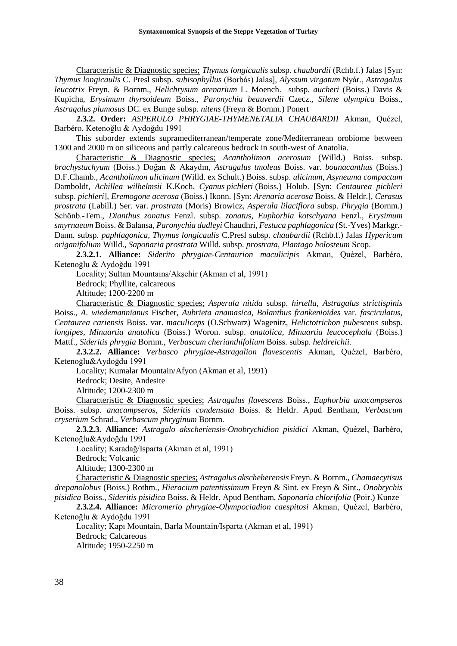Characteristic & Diagnostic species; *Thymus longicaulis* subsp. *chaubardii* (Rchb.f.) Jalas [Syn: *Thymus longicaulis* C. Presl subsp. *subisophyllus* (Borbás) Jalas], *Alyssum virgatum* Nyár., *Astragalus leucotrix* Freyn. & Bornm., *Helichrysum arenarium* L. Moench.subsp. *aucheri* (Boiss.) Davis & Kupicha, *Erysimum thyrsoideum* Boiss.*, Paronychia beauverdii* Czecz., *Silene olympica* Boiss., *Astragalus plumosus* DC. ex Bunge subsp. *nitens* (Freyn & Bornm.) Ponert

**2.3.2. Order:** *ASPERULO PHRYGIAE-THYMENETALIA CHAUBARDII* Akman, Quézel, Barbéro, Ketenoğlu & Aydoğdu 1991

This suborder extends supramediterranean/temperate zone/Mediterranean orobiome between 1300 and 2000 m on siliceous and partly calcareous bedrock in south-west of Anatolia.

Characteristic & Diagnostic species; *Acantholimon acerosum* (Willd.) Boiss. subsp. *brachystachyum* (Boiss.) Doğan & Akaydın*, Astragalus tmoleus* Boiss. var. *bounacanthus* (Boiss.) D.F.Chamb.*, Acantholimon ulicinum* (Willd. ex Schult.) Boiss. subsp. *ulicinum*, *Asyneuma compactum* Damboldt, *Achillea wilhelmsii* K.Koch, *Cyanus pichleri* (Boiss.) Holub. [Syn: *Centaurea pichleri*  subsp. *pichleri*], *Eremogone acerosa* (Boiss.) Ikonn. [Syn: *Arenaria acerosa* Boiss. & Heldr.]*, Cerasus prostrata* (Labill.) Ser. var. *prostrata* (Moris) Browicz, *Asperula lilaciflora* subsp. *Phrygia* (Bornm.) Schönb.-Tem.*, Dianthus zonatus* Fenzl. subsp. *zonatu*s, *Euphorbia kotschyana* Fenzl.*, Erysimum smyrnaeum* Boiss. & Balansa, *Paronychia dudleyi* Chaudhri*, Festuca paphlagonica* (St.-Yves) Markgr.- Dann. subsp. *paphlagonica, Thymus longicaulis* C.Presl subsp. *chaubardii* (Rchb.f.) Jalas *Hypericum origanifolium* Willd., *Saponaria prostrata* Willd. subsp. *prostrata, Plantago holosteum* Scop.

**2.3.2.1. Alliance:** *Siderito phrygiae-Centaurion maculicipis* Akman, Quézel, Barbéro, Ketenoğlu & Aydoğdu 1991

Locality; Sultan Mountains/Akşehir (Akman et al, 1991) Bedrock; Phyllite, calcareous Altitude; 1200-2200 m

Characteristic & Diagnostic species; *Asperula nitida* subsp. *hirtella, Astragalus strictispinis*  Boiss., *A. wiedemannianus* Fischer, *Aubrieta anamasica, Bolanthus frankenioides* var. *fasciculatus, Centaurea cariensis* Boiss. var. *maculiceps* (O.Schwarz) Wagenitz, *Helictotrichon pubescens* subsp. *longipes, Minuartia anatolica* (Boiss.) Woron. subsp. *anatolica, Minuartia leucocephala* (Boiss.) Mattf.*, Sideritis phrygia* Bornm., *Verbascum cherianthifolium* Boiss. subsp. *heldreichii.*

**2.3.2.2. Alliance:** *Verbasco phrygiae-Astragalion flavescentis* Akman, Quézel, Barbéro, Ketenoğlu&Aydoğdu 1991

Locality; Kumalar Mountain/Afyon (Akman et al, 1991)

Bedrock; Desite, Andesite

Altitude; 1200-2300 m

Characteristic & Diagnostic species; *Astragalus flavescens* Boiss., *Euphorbia anacampseros*  Boiss. subsp. *anacampseros, Sideritis condensata* Boiss. & Heldr. Apud Bentham, *Verbascum cryserium* Schrad., *Verbascum phryginum* Bornm.

**2.3.2.3. Alliance:** *Astragalo akscheriensis-Onobrychidion pisidici* Akman, Quézel, Barbéro, Ketenoğlu&Aydoğdu 1991

Locality; Karadağ/Isparta (Akman et al, 1991)

Bedrock; Volcanic

Altitude; 1300-2300 m

Characteristic & Diagnostic species; *Astragalus akscheherensis* Freyn. & Bornm., *Chamaecytisus drepanolobus* (Boiss.) Rothm., *Hieracium patentissimum* Freyn & Sint. ex Freyn & Sint., *Onobrychis pisidica* Boiss., *Sideritis pisidica* Boiss. & Heldr. Apud Bentham, *Saponaria chlorifolia* (Poir.) Kunze

**2.3.2.4. Alliance:** *Micromerio phrygiae-Olympociadion caespitosi* Akman, Quézel, Barbéro, Ketenoğlu & Aydoğdu 1991

Locality; Kapı Mountain, Barla Mountain/Isparta (Akman et al, 1991) Bedrock; Calcareous Altitude; 1950-2250 m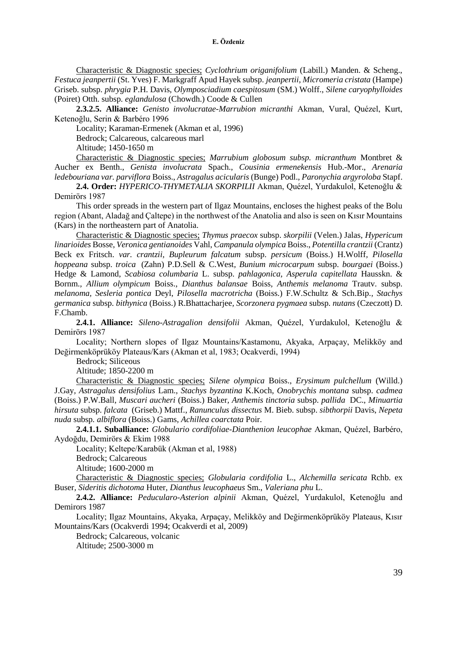Characteristic & Diagnostic species; *Cyclothrium origanifolium* (Labill.) Manden. & Scheng., *Festuca jeanpertii* (St. Yves) F. Markgraff Apud Hayek subsp*. jeanpertii, Micromeria cristata* (Hampe) Griseb. subsp. *phrygia* P.H. Davis, *Olymposciadium caespitosum* (SM.) Wolff., *Silene caryophylloides*  (Poiret) Otth. subsp*. eglandulosa* (Chowdh.) Coode & Cullen

**2.3.2.5. Alliance:** *Genisto involucratae-Marrubion micranthi* Akman, Vural, Quézel, Kurt, Ketenoğlu, Serin & Barbéro 1996

Locality; Karaman-Ermenek (Akman et al, 1996)

Bedrock; Calcareous, calcareous marl

Altitude; 1450-1650 m

Characteristic & Diagnostic species; *Marrubium globosum subsp. micranthum* [Montbret &](http://www.theplantlist.org/tpl1.1/record/kew-120853)  [Aucher ex Benth.,](http://www.theplantlist.org/tpl1.1/record/kew-120853) *Genista involucrata* Spach., *Cousinia ermenekensis* Hub.-Mor., *Arenaria ledebouriana var. parviflora* Boiss., *Astragalus acicularis* (Bunge) Podl., *Paronychia argyroloba* Stapf.

**2.4. Order:** *HYPERICO-THYMETALIA SKORPILII* Akman, Quézel, Yurdakulol, Ketenoğlu & Demirörs 1987

This order spreads in the western part of Ilgaz Mountains, encloses the highest peaks of the Bolu region (Abant, Aladağ and Çaltepe) in the northwest of the Anatolia and also is seen on Kısır Mountains (Kars) in the northeastern part of Anatolia.

Characteristic & Diagnostic species; *Thymus praecox* subsp. *skorpilii* (Velen.) Jalas*, Hypericum linarioides* Bosse, *Veronica gentianoides* Vahl, *Campanula olympica* Boiss., *Potentilla crantzii* [\(Crantz\)](http://www.theplantlist.org/tpl1.1/record/rjp-19)  [Beck ex Fritsch.](http://www.theplantlist.org/tpl1.1/record/rjp-19) *var. crantzii, Bupleurum falcatum* subsp. *persicum* (Boiss.) H.Wolff*, Pilosella hoppeana* subsp. *troica* (Zahn) P.D.Sell & C.West*, Bunium microcarpum* subsp. *bourgaei* (Boiss.) Hedge & Lamond, *Scabiosa columbaria* L. subsp. *pahlagonica, Asperula capitellata* Hausskn. & Bornm.*, Allium olympicum* Boiss., *Dianthus balansae* Boiss*, Anthemis melanoma* Trautv. subsp. *melanoma, Sesleria pontica* Deyl, *Pilosella macrotricha* (Boiss.) F.W.Schultz & Sch.Bip.*, Stachys germanica* subsp. *bithynica* (Boiss.) R.Bhattacharjee*, Scorzonera pygmaea* subsp. *nutans* (Czeczott) D. F.Chamb.

**2.4.1. Alliance:** *Sileno-Astragalion densifolii* Akman, Quézel, Yurdakulol, Ketenoğlu & Demirörs 1987

Locality; Northern slopes of Ilgaz Mountains/Kastamonu, Akyaka, Arpaçay, Melikköy and Değirmenköprüköy Plateaus/Kars (Akman et al, 1983; Ocakverdi, 1994)

Bedrock; Siliceous

Altitude; 1850-2200 m

Characteristic & Diagnostic species; *Silene olympica* Boiss., *Erysimum pulchellum* (Willd.) J.Gay*, Astragalus densifolius* Lam., *Stachys byzantina* K.Koch, *Onobrychis montana* subsp. *cadmea* (Boiss.) P.W.Ball, *Muscari aucheri* (Boiss.) Baker*, Anthemis tinctoria* subsp. *pallida* DC., *Minuartia hirsuta* subsp. *falcata* (Griseb.) Mattf., *Ranunculus dissectus* M. Bieb. subsp. *sibthorpii* Davis, *Nepeta nuda* subsp*. albiflora* (Boiss.) Gams*, Achillea coarctata* Poir.

**2.4.1.1. Suballiance:** *Globulario cordifoliae-Dianthenion leucophae* Akman, Quézel, Barbéro, Aydoğdu, Demirörs & Ekim 1988

Locality; Keltepe/Karabük (Akman et al, 1988)

Bedrock; Calcareous

Altitude; 1600-2000 m

Characteristic & Diagnostic species; *Globularia cordifolia* L., *Alchemilla sericata* Rchb. ex Buser*, Sideritis dichotoma* Huter*, Dianthus leucophaeus* Sm., *Valeriana phu* L.

**2.4.2. Alliance:** *Peducularo-Asterion alpinii* Akman, Quézel, Yurdakulol, Ketenoğlu and Demirors 1987

Locality; Ilgaz Mountains, Akyaka, Arpaçay, Melikköy and Değirmenköprüköy Plateaus, Kısır Mountains/Kars (Ocakverdi 1994; Ocakverdi et al, 2009)

Bedrock; Calcareous, volcanic Altitude; 2500-3000 m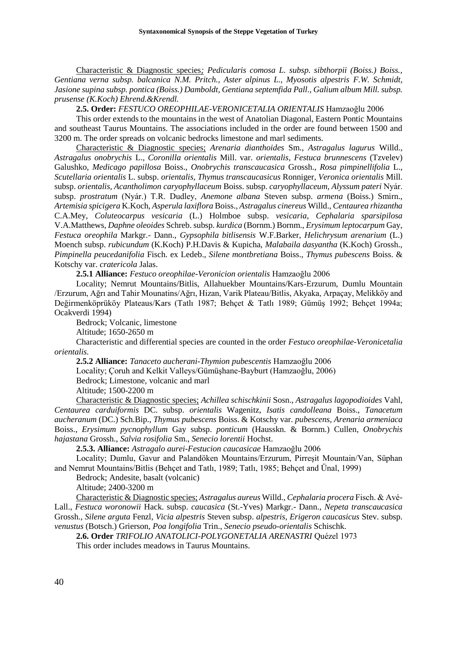Characteristic & Diagnostic species*; Pedicularis comosa L. subsp. sibthorpii (Boiss.) Boiss., Gentiana verna subsp. balcanica N.M. Pritch., Aster alpinus L., Myosotis alpestris F.W. Schmidt, Jasione supina subsp. pontica (Boiss.) Damboldt, Gentiana septemfida Pall., Galium album Mill. subsp. prusense (K.Koch) Ehrend.&Krendl.*

**2.5. Order:** *FESTUCO OREOPHILAE-VERONICETALIA ORIENTALIS* Hamzaoğlu 2006

This order extends to the mountains in the west of Anatolian Diagonal, Eastern Pontic Mountains and southeast Taurus Mountains. The associations included in the order are found between 1500 and 3200 m. The order spreads on volcanic bedrocks limestone and marl sediments.

Characteristic & Diagnostic species; *Arenaria dianthoides* Sm., *Astragalus lagurus* Willd., *Astragalus onobrychis* L., *Coronilla orientalis* Mill. var. *orientalis, Festuca brunnescens* (Tzvelev) Galushko, *Medicago papillosa* Boiss., *Onobrychis transcaucasica* Grossh., *Rosa pimpinellifolia* L., *Scutellaria orientalis* L. subsp. *orientalis, Thymus transcaucasicus* Ronniger, *Veronica orientalis* Mill. subsp. *orientalis, Acantholimon caryophyllaceum* Boiss. subsp. *caryophyllaceum, Alyssum pateri* Nyár. subsp. *prostratum* (Nyár.) T.R. Dudley, *Anemone albana* Steven subsp. *armena* (Boiss.) Smirn., *Artemisia spicigera* K.Koch, *Asperula laxiflora* Boiss., *Astragalus cinereus* Willd., *Centaurea rhizantha* C.A.Mey, *Coluteocarpus vesicaria* (L.) Holmboe subsp. *vesicaria, Cephalaria sparsipilosa* V.A.Matthews, *Daphne oleoides* Schreb. subsp. *kurdica* (Bornm.) Bornm., *Erysimum leptocarpum* Gay, *Festuca oreophila* Markgr.- Dann., *Gypsophila bitlisensis* W.F.Barker, *Helichrysum arenarium* (L.) Moench subsp. *rubicundum* (K.Koch) P.H.Davis & Kupicha, *Malabaila dasyantha* (K.Koch) Grossh., *Pimpinella peucedanifolia* Fisch. ex Ledeb., *Silene montbretiana* Boiss., *Thymus pubescens* Boiss. & Kotschy var. *cratericola* Jalas.

**2.5.1 Alliance:** *Festuco oreophilae-Veronicion orientalis* Hamzaoğlu 2006

Locality; Nemrut Mountains/Bitlis, Allahuekber Mountains/Kars-Erzurum, Dumlu Mountain /Erzurum, Ağrı and Tahir Mounatins/Ağrı, Hizan, Varik Plateau/Bitlis, Akyaka, Arpaçay, Melikköy and Değirmenköprüköy Plateaus/Kars (Tatlı 1987; Behçet & Tatlı 1989; Gümüş 1992; Behçet 1994a; Ocakverdi 1994)

Bedrock; Volcanic, limestone

Altitude; 1650-2650 m

Characteristic and differential species are counted in the order *Festuco oreophilae-Veronicetalia orientalis.*

**2.5.2 Alliance:** *Tanaceto aucherani-Thymion pubescentis* Hamzaoğlu 2006

Locality; Çoruh and Kelkit Valleys/Gümüşhane-Bayburt (Hamzaoğlu, 2006)

Bedrock; Limestone, volcanic and marl

Altitude; 1500-2200 m

Characteristic & Diagnostic species; *Achillea schischkinii* Sosn., *Astragalus lagopodioides* Vahl, *Centaurea carduiformis* DC. subsp. *orientalis* Wagenitz, *Isatis candolleana* Boiss., *Tanacetum aucheranum* (DC.) Sch.Bip., *Thymus pubescens* Boiss. & Kotschy var. *pubescens, Arenaria armeniaca* Boiss., *Erysimum pycnophyllum* Gay subsp. *ponticum* (Hausskn. & Bornm.) Cullen, *Onobrychis hajastana* Grossh., *Salvia rosifolia* Sm., *Senecio lorentii* Hochst.

**2.5.3. Alliance:** *Astragalo aurei-Festucion caucasicae* Hamzaoğlu 2006

Locality; Dumlu, Gavur and Palandöken Mountains/Erzurum, Pirreşit Mountain/Van, Süphan and Nemrut Mountains/Bitlis (Behçet and Tatlı, 1989; Tatlı, 1985; Behçet and Ünal, 1999)

Bedrock; Andesite, basalt (volcanic)

Altitude; 2400-3200 m

Characteristic & Diagnostic species; *Astragalus aureus* Willd., *Cephalaria procera* Fisch. & Avé-Lall., *Festuca woronowii* Hack. subsp. *caucasica* (St.-Yves) Markgr.- Dann., *Nepeta transcaucasica* Grossh., *Silene arguta* Fenzl, *Vicia alpestris* Steven subsp. *alpestris*, *Erigeron caucasicus* Stev. subsp. *venustus* (Botsch.) Grierson, *Poa longifolia* Trin., *Senecio pseudo-orientalis* Schischk.

**2.6. Order** *TRIFOLIO ANATOLICI-POLYGONETALIA ARENASTRI* Quézel 1973

This order includes meadows in Taurus Mountains.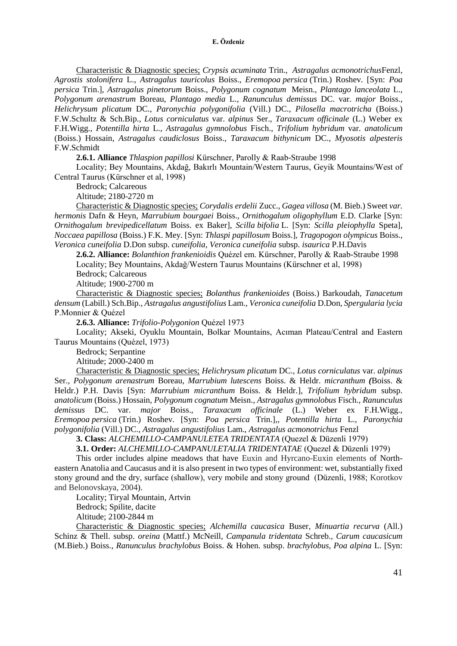Characteristic & Diagnostic species; *Crypsis acuminata* Trin., *Astragalus acmonotrichus*Fenzl, *Agrostis stolonifera* L., *Astragalus tauricolus* Boiss.*, Eremopoa persica* (Trin.) Roshev. [Syn: *Poa persica* Trin.], *Astragalus pinetorum* Boiss., *Polygonum cognatum* Meisn.*, Plantago lanceolata* L.*, Polygonum arenastrum* Boreau, *Plantago media* L.*, Ranunculus demissus* DC. var. *major* Boiss.*, Helichrysum plicatum* DC., *Paronychia polygonifolia* (Vill.) DC.*, Pilosella macrotricha* (Boiss.) F.W.Schultz & Sch.Bip.*, Lotus corniculatus* var. *alpinus* Ser.*, Taraxacum officinale* (L.) Weber ex F.H.Wigg.*, Potentilla hirta* L., *Astragalus gymnolobus* Fisch., *Trifolium hybridum* var*. anatolicum* (Boiss.) Hossain*, Astragalus caudiclosus* Boiss., *Taraxacum bithynicum* DC.*, Myosotis alpesteris* F.W.Schmidt

**2.6.1. Alliance** *Thlaspion papillosi* Kürschner, Parolly & Raab-Straube 1998

Locality; Bey Mountains, Akdağ, Bakırlı Mountain/Western Taurus, Geyik Mountains/West of Central Taurus (Kürschner et al, 1998)

Bedrock; Calcareous

Altitude; 2180-2720 m

Characteristic & Diagnostic species; *Corydalis erdelii* Zucc.*, Gagea villosa* (M. Bieb.) Sweet *var. hermonis* Dafn & Heyn*, Marrubium bourgaei* Boiss., *Ornithogalum oligophyllum* E.D. Clarke [Syn: *Ornithogalum brevipedicellatum* Boiss. ex Baker]*, Scilla bifolia* L. [Syn: *Scilla pleiophylla* Speta]*, Noccaea papillosa* (Boiss.) F.K. Mey. [Syn: *Thlaspi papillosum* Boiss.]*, Tragopogon olympicus* Boiss.*, Veronica cuneifolia* D.Don subsp. *cuneifolia, Veronica cuneifolia* subsp. *isaurica* P.H.Davis

**2.6.2. Alliance:** *Bolanthion frankenioidis* Quézel em. Kürschner, Parolly & Raab-Straube 1998 Locality; Bey Mountains, Akdağ/Western Taurus Mountains (Kürschner et al, 1998)

Bedrock; Calcareous

Altitude; 1900-2700 m

Characteristic & Diagnostic species; *Bolanthus frankenioides* (Boiss.) Barkoudah*, Tanacetum densum* (Labill.) Sch.Bip.*, Astragalus angustifolius* Lam.*, Veronica cuneifolia* D.Don*, Spergularia lycia* P.Monnier & Quézel

**2.6.3. Alliance:** *Trifolio-Polygonion* Quézel 1973

Locality; Akseki, Oyuklu Mountain, Bolkar Mountains, Acıman Plateau/Central and Eastern Taurus Mountains (Quézel, 1973)

Bedrock; Serpantine

Altitude; 2000-2400 m

Characteristic & Diagnostic species; *Helichrysum plicatum* DC.*, Lotus corniculatus* var. *alpinus* Ser.*, Polygonum arenastrum* Boreau*, Marrubium lutescens* Boiss. & Heldr. *micranthum (*Boiss. & Heldr.) P.H. Davis [Syn: *Marrubium micranthum* Boiss. & Heldr.]*, Trifolium hybridum* subsp. *anatolicum* (Boiss.) Hossain*, Polygonum cognatum* Meisn.*, Astragalus gymnolobus* Fisch.*, Ranunculus demissus* DC. var. *major* Boiss.*, Taraxacum officinale* (L.) Weber ex F.H.Wigg.*, Eremopoa persica* (Trin.) Roshev. [Syn: *Poa persica* Trin.],*, Potentilla hirta* L., *Paronychia polygonifolia* (Vill.) DC.*, Astragalus angustifolius* Lam., *Astragalus acmonotrichus* Fenzl

**3. Class:** *ALCHEMILLO-CAMPANULETEA TRIDENTATA* (Quezel & Düzenli 1979)

**3.1. Order:** *ALCHEMILLO-CAMPANULETALIA TRIDENTATAE* (Quezel & Düzenli 1979)

This order includes alpine meadows that have Euxin and Hyrcano-Euxin elements of Northeastern Anatolia and Caucasus and it is also present in two types of environment: wet, substantially fixed stony ground and the dry, surface (shallow), very mobile and stony ground (Düzenli, 1988; Korotkov and Belonovskaya, 2004).

Locality; Tiryal Mountain, Artvin

Bedrock; Spilite, dacite

Altitude; 2100-2844 m

Characteristic & Diagnostic species; *Alchemilla caucasica* Buser*, Minuartia recurva* (All.) Schinz & Thell. subsp. *oreina* (Mattf.) McNeill*, Campanula tridentata* Schreb.*, Carum caucasicum* (M.Bieb.) Boiss.*, Ranunculus brachylobus* Boiss. & Hohen. subsp. *brachylobus, Poa alpina* L. [Syn: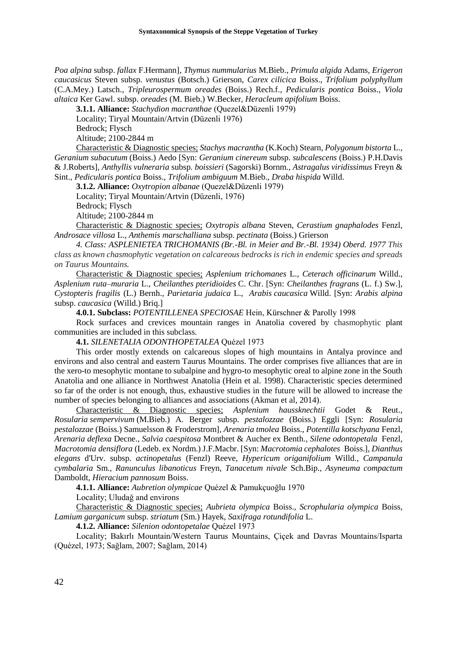*Poa alpina* subsp. *fallax* F.Hermann]*, Thymus nummularius* M.Bieb.*, Primula algida* Adams*, Erigeron caucasicus* Steven subsp. *venustus* (Botsch.) Grierson, *Carex cilicica* Boiss., *Trifolium polyphyllum* (C.A.Mey.) Latsch.*, Tripleurospermum oreades* (Boiss.) Rech.f.*, Pedicularis pontica* Boiss.*, Viola altaica* Ker Gawl. subsp. *oreades* (M. Bieb.) W.Becker, *Heracleum apifolium* Boiss.

**3.1.1. Alliance:** *Stachydion macranthae* (Quezel&Düzenli 1979)

Locality; Tiryal Mountain/Artvin (Düzenli 1976)

Bedrock; Flysch

Altitude; 2100-2844 m

Characteristic & Diagnostic species; *Stachys macrantha* (K.Koch) Stearn*, Polygonum bistorta* L.*, Geranium subacutum* (Boiss.) Aedo [Syn: *Geranium cinereum* subsp. *subcalescens* (Boiss.) P.H.Davis & J.Roberts]*, Anthyllis vulneraria* subsp*. boissieri* (Sagorski) Bornm.*, Astragalus viridissimus* Freyn & Sint.*, Pedicularis pontica* Boiss.*, Trifolium ambiguum* M.Bieb.*, Draba hispida* Willd.

**3.1.2. Alliance:** *Oxytropion albanae* (Quezel&Düzenli 1979)

Locality; Tiryal Mountain/Artvin (Düzenli, 1976)

Bedrock; Flysch

Altitude; 2100-2844 m

Characteristic & Diagnostic species; *Oxytropis albana* Steven*, Cerastium gnaphalodes* Fenzl*, Androsace villosa* L.*, Anthemis marschalliana* subsp. *pectinata* (Boiss.) Grierson

*4. Class: ASPLENIETEA TRICHOMANIS (Br.-Bl. in Meier and Br.-Bl. 1934) Oberd. 1977 This class as known chasmophytic vegetation on calcareous bedrocks is rich in endemic species and spreads on Taurus Mountains.* 

Characteristic & Diagnostic species; *Asplenium trichomanes* L., *Ceterach officinarum* Willd., *Asplenium ruta–muraria* L., *Cheilanthes pteridioides* C. Chr. [Syn: *Cheilanthes fragrans* (L. f.) Sw.], *Cystopteris fragilis* (L.) Bernh.*, Parietaria judaica* L., *Arabis caucasica* Willd. [Syn: *Arabis alpina*  subsp. *caucasica* (Willd.) Briq.]

**4.0.1. Subclass:** *POTENTILLENEA SPECIOSAE* Hein, Kürschner & Parolly 1998

Rock surfaces and crevices mountain ranges in Anatolia covered by chasmophytic plant communities are included in this subclass.

**4.1.** *SILENETALIA ODONTHOPETALEA* Quézel 1973

This order mostly extends on calcareous slopes of high mountains in Antalya province and environs and also central and eastern Taurus Mountains. The order comprises five alliances that are in the xero-to mesophytic montane to subalpine and hygro-to mesophytic oreal to alpine zone in the South Anatolia and one alliance in Northwest Anatolia (Hein et al. 1998). Characteristic species determined so far of the order is not enough, thus, exhaustive studies in the future will be allowed to increase the number of species belonging to alliances and associations (Akman et al, 2014).

Characteristic & Diagnostic species; *Asplenium haussknechtii* Godet & Reut.*, Rosularia sempervivum* (M.Bieb.) A. Berger subsp. *pestalozzae* (Boiss.) Eggli [Syn: *Rosularia pestalozzae* (Boiss.) Samuelsson & Froderstrom]*, Arenaria tmolea* Boiss., *Potentilla kotschyana* Fenzl*, Arenaria deflexa* Decne.*, Salvia caespitosa* Montbret & Aucher ex Benth.*, Silene odontopetala* Fenzl*, Macrotomia densiflora* (Ledeb. ex Nordm.) J.F.Macbr. [Syn: *Macrotomia cephalotes* Boiss.]*, Dianthus elegans* d'Urv. subsp. *actinopetalus* (Fenzl) Reeve*, Hypericum origanifolium* Willd., *Campanula cymbalaria* Sm.*, Ranunculus libanoticus* Freyn*, Tanacetum nivale* Sch.Bip.*, Asyneuma compactum* Damboldt*, Hieracium pannosum* Boiss.

**4.1.1. Alliance:** *Aubretion olympicae* Quézel & Pamukçuoğlu 1970

Locality; Uludağ and environs

Characteristic & Diagnostic species; *Aubrieta olympica* Boiss.*, Scrophularia olympica* Boiss*, Lamium garganicum* subsp. *striatum* (Sm.) Hayek, *Saxifraga rotundifolia* L.

**4.1.2. Alliance:** *Silenion odontopetalae* Quézel 1973

Locality; Bakırlı Mountain/Western Taurus Mountains, Çiçek and Davras Mountains/Isparta (Quézel, 1973; Sağlam, 2007; Sağlam, 2014)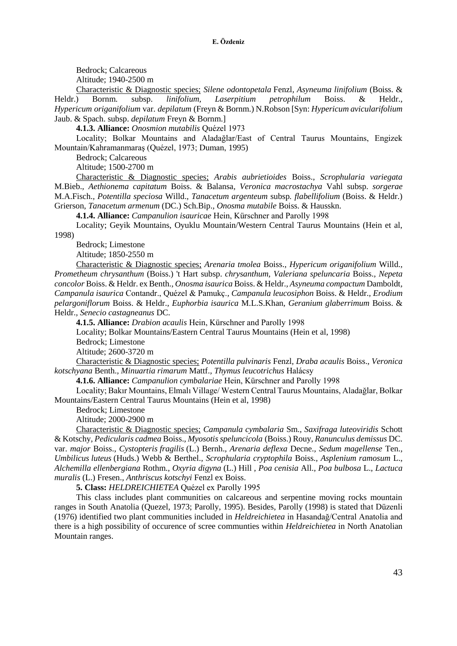Bedrock; Calcareous

Altitude; 1940-2500 m

Characteristic & Diagnostic species; *Silene odontopetala* Fenzl*, Asyneuma linifolium* (Boiss. & Heldr.) Bornm. subsp. *linifolium, Laserpitium petrophilum* Boiss. & Heldr.*, Hypericum origanifolium* var. *depilatum* (Freyn & Bornm.) N.Robson [Syn: *Hypericum avicularifolium* Jaub. & Spach. subsp. *depilatum* Freyn & Bornm.]

**4.1.3. Alliance:** *Onosmion mutabilis* Quézel 1973

Locality; Bolkar Mountains and Aladağlar/East of Central Taurus Mountains, Engizek Mountain/Kahramanmaraş (Quézel, 1973; Duman, 1995)

Bedrock; Calcareous

Altitude; 1500-2700 m

Characteristic & Diagnostic species; *Arabis aubrietioides* Boiss.*, Scrophularia variegata* M.Bieb.*, Aethionema capitatum* Boiss. & Balansa*, Veronica macrostachya* Vahl subsp. *sorgerae*  M.A.Fisch.*, Potentilla speciosa* Willd.*, Tanacetum argenteum* subsp*. flabellifolium* (Boiss. & Heldr.) Grierson, *Tanacetum armenum* (DC.) Sch.Bip.*, Onosma mutabile* Boiss. & Hausskn.

**4.1.4. Alliance:** *Campanulion isauricae* Hein, Kürschner and Parolly 1998

Locality; Geyik Mountains, Oyuklu Mountain/Western Central Taurus Mountains (Hein et al, 1998)

Bedrock; Limestone

Altitude; 1850-2550 m

Characteristic & Diagnostic species; *Arenaria tmolea* Boiss.*, Hypericum origanifolium* Willd.*, Prometheum chrysanthum* (Boiss.) 't Hart subsp. *chrysanthum, Valeriana speluncaria* Boiss.*, Nepeta concolor* Boiss. & Heldr. ex Benth.*, Onosma isaurica* Boiss. & Heldr.*, Asyneuma compactum* Damboldt*, Campanula isaurica* Contandr., Quézel & Pamukç.*, Campanula leucosiphon* Boiss. & Heldr.*, Erodium pelargoniflorum* Boiss. & Heldr.*, Euphorbia isaurica* M.L.S.Khan*, Geranium glaberrimum* Boiss. & Heldr.*, Senecio castagneanus* DC.

**4.1.5. Alliance:** *Drabion acaulis* Hein, Kürschner and Parolly 1998

Locality; Bolkar Mountains/Eastern Central Taurus Mountains (Hein et al, 1998)

Bedrock; Limestone

Altitude; 2600-3720 m

Characteristic & Diagnostic species; *Potentilla pulvinaris* Fenzl*, Draba acaulis* Boiss.*, Veronica kotschyana* Benth.*, Minuartia rimarum* Mattf.*, Thymus leucotrichus* Halácsy

**4.1.6. Alliance:** *Campanulion cymbalariae* Hein, Kürschner and Parolly 1998

Locality; Bakır Mountains, Elmalı Village/ Western Central Taurus Mountains, Aladağlar, Bolkar Mountains/Eastern Central Taurus Mountains (Hein et al, 1998)

Bedrock; Limestone

Altitude; 2000-2900 m

Characteristic & Diagnostic species; *Campanula cymbalaria* Sm.*, Saxifraga luteoviridis* Schott & Kotschy*, Pedicularis cadmea* Boiss.*, Myosotis speluncicola* (Boiss.) Rouy*, Ranunculus demissus* DC. var. *major* Boiss.*, Cystopteris fragilis* (L.) Bernh.*, Arenaria deflexa* Decne.*, Sedum magellense* Ten.*, Umbilicus luteus* (Huds.) Webb & Berthel.*, Scrophularia cryptophila* Boiss.*, Asplenium ramosum* L.*, Alchemilla ellenbergiana* Rothm.*, Oxyria digyna* (L.) Hill *, Poa cenisia* All.*, Poa bulbosa* L.*, Lactuca muralis* (L.) Fresen.*, Anthriscus kotschyi* Fenzl ex Boiss.

**5. Class:** *HELDREICHIETEA* Quézel ex Parolly 1995

This class includes plant communities on calcareous and serpentine moving rocks mountain ranges in South Anatolia (Quezel, 1973; Parolly, 1995). Besides, Parolly (1998) is stated that Düzenli (1976) identified two plant communities included in *Heldreichietea* in Hasandağ/Central Anatolia and there is a high possibility of occurence of scree communties within *Heldreichietea* in North Anatolian Mountain ranges.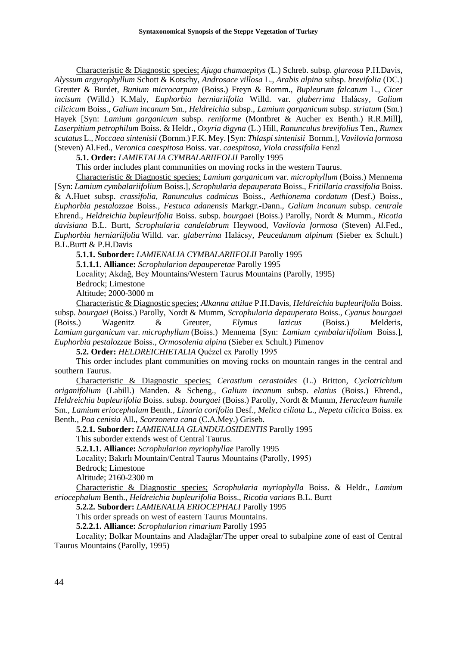Characteristic & Diagnostic species; *Ajuga chamaepitys* (L.) Schreb. subsp. *glareosa* P.H.Davis*, Alyssum argyrophyllum* Schott & Kotschy*, Androsace villosa* L.*, Arabis alpina* subsp. *brevifolia* (DC.) Greuter & Burdet*, Bunium microcarpum* (Boiss.) Freyn & Bornm.*, Bupleurum falcatum* L.*, Cicer incisum* (Willd.) K.Maly*, Euphorbia herniariifolia* Willd. var. *glaberrima* Halácsy*, Galium cilicicum* Boiss.*, Galium incanum* Sm.*, Heldreichia* subsp., *Lamium garganicum* subsp. *striatum* (Sm.) Hayek [Syn: *Lamium garganicum* subsp. *reniforme* (Montbret & Aucher ex Benth.) R.R.Mill]*, Laserpitium petrophilum* Boiss. & Heldr.*, Oxyria digyna* (L.) Hill*, Ranunculus brevifolius* Ten.*, Rumex scutatus* L.*, Noccaea sintenisii* (Bornm.) F.K. Mey. [Syn: *Thlaspi sintenisii* Bornm.]*, Vavilovia formosa* (Steven) Al.Fed.*, Veronica caespitosa* Boiss. var. *caespitosa, Viola crassifolia* Fenzl

**5.1. Order:** *LAMIETALIA CYMBALARIIFOLII* Parolly 1995

This order includes plant communities on moving rocks in the western Taurus.

Characteristic & Diagnostic species; *Lamium garganicum* var. *microphyllum* (Boiss.) Mennema [Syn: *Lamium cymbalariifolium* Boiss.]*, Scrophularia depauperata* Boiss.*, Fritillaria crassifolia* Boiss. & A.Huet subsp. *crassifolia, Ranunculus cadmicus* Boiss.*, Aethionema cordatum* (Desf.) Boiss.*, Euphorbia pestalozzae* Boiss.*, Festuca adanensis* Markgr.-Dann.*, Galium incanum* subsp. *centrale* Ehrend.*, Heldreichia bupleurifolia* Boiss. subsp. *bourgaei* (Boiss.) Parolly, Nordt & Mumm.*, Ricotia davisiana* B.L. Burtt*, Scrophularia candelabrum* Heywood*, Vavilovia formosa* (Steven) Al.Fed.*, Euphorbia herniariifolia* Willd. var. *glaberrima* Halácsy*, Peucedanum alpinum* (Sieber ex Schult.) B.L.Burtt & P.H.Davis

**5.1.1. Suborder:** *LAMIENALIA CYMBALARIIFOLII* Parolly 1995

**5.1.1.1. Alliance:** *Scrophularion depauperetae* Parolly 1995

Locality; Akdağ, Bey Mountains/Western Taurus Mountains (Parolly, 1995)

Bedrock; Limestone

Altitude; 2000-3000 m

Characteristic & Diagnostic species; *Alkanna attilae* P.H.Davis*, Heldreichia bupleurifolia* Boiss. subsp*. bourgaei* (Boiss.) Parolly, Nordt & Mumm*, Scrophularia depauperata* Boiss.*, Cyanus bourgaei* (Boiss.) Wagenitz & Greuter*, Elymus lazicus* (Boiss.) Melderis, *Lamium garganicum* var. *microphyllum* (Boiss.) Mennema [Syn: *Lamium cymbalariifolium* Boiss.], *Euphorbia pestalozzae* Boiss.*, Ormosolenia alpina* (Sieber ex Schult.) Pimenov

**5.2. Order:** *HELDREICHIETALIA* Quézel ex Parolly 1995

This order includes plant communities on moving rocks on mountain ranges in the central and southern Taurus.

Characteristic & Diagnostic species; *Cerastium cerastoides* (L.) Britton*, Cyclotrichium origanifolium* (Labill.) Manden. & Scheng.*, Galium incanum* subsp. *elatius* (Boiss.) Ehrend.*, Heldreichia bupleurifolia* Boiss. subsp. *bourgaei* (Boiss.) Parolly, Nordt & Mumm*, Heracleum humile* Sm.*, Lamium eriocephalum* Benth.*, Linaria corifolia* Desf.*, Melica ciliata* L.*, Nepeta cilicica* Boiss. ex Benth.*, Poa cenisia* All.*, Scorzonera cana* (C.A.Mey.) Griseb.

**5.2.1. Suborder:** *LAMIENALIA GLANDULOSIDENTIS* Parolly 1995

This suborder extends west of Central Taurus.

**5.2.1.1. Alliance:** *Scrophularion myriophyllae* Parolly 1995

Locality; Bakırlı Mountain/Central Taurus Mountains (Parolly, 1995)

Bedrock; Limestone

Altitude; 2160-2300 m

Characteristic & Diagnostic species; *Scrophularia myriophylla* Boiss. & Heldr.*, Lamium eriocephalum* Benth.*, Heldreichia bupleurifolia* Boiss.*, Ricotia varians* B.L. Burtt

**5.2.2. Suborder:** *LAMIENALIA ERIOCEPHALI* Parolly 1995

This order spreads on west of eastern Taurus Mountains.

**5.2.2.1. Alliance:** *Scrophularion rimarium* Parolly 1995

Locality; Bolkar Mountains and Aladağlar/The upper oreal to subalpine zone of east of Central Taurus Mountains (Parolly, 1995)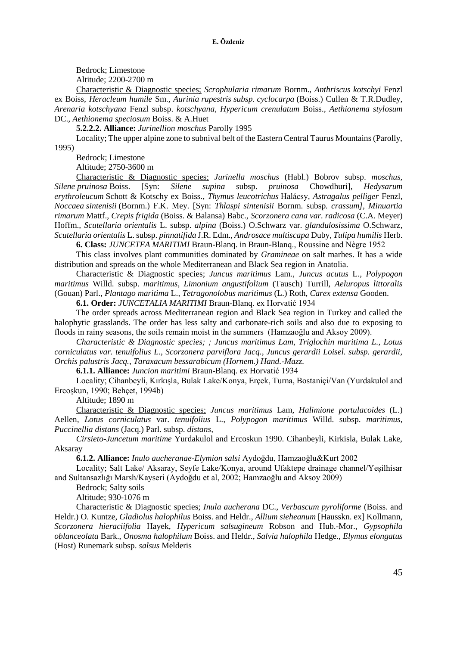Bedrock; Limestone

Altitude; 2200-2700 m

Characteristic & Diagnostic species; *Scrophularia rimarum* Bornm.*, Anthriscus kotschyi* Fenzl ex Boiss*, Heracleum humile* Sm.*, Aurinia rupestris subsp. cyclocarpa* (Boiss.) Cullen & T.R.Dudley, *Arenaria kotschyana* Fenzl subsp. *kotschyana, Hypericum crenulatum* Boiss.*, Aethionema stylosum* DC.*, Aethionema speciosum* Boiss. & A.Huet

**5.2.2.2. Alliance:** *Jurinellion moschus* Parolly 1995

Locality; The upper alpine zone to subnival belt of the Eastern Central Taurus Mountains (Parolly, 1995)

Bedrock; Limestone

Altitude; 2750-3600 m

Characteristic & Diagnostic species; *Jurinella moschus* (Habl.) Bobrov subsp. *moschus, Silene pruinosa* Boiss. [Syn: *Silene supina* subsp. *pruinosa* Chowdhuri]*, Hedysarum erythroleucum* Schott & Kotschy ex Boiss., *Thymus leucotrichus* Halácsy*, Astragalus pelliger* Fenzl*, Noccaea sintenisii* (Bornm.) F.K. Mey. [Syn: *Thlaspi sintenisii* Bornm. subsp*. crassum], Minuartia rimarum* Mattf.*, Crepis frigida* (Boiss. & Balansa) Babc.*, Scorzonera cana var. radicosa* (C.A. Meyer) Hoffm.*, Scutellaria orientalis* L. subsp. *alpina* (Boiss.) O.Schwarz var. *glandulosissima* O.Schwarz*, Scutellaria orientalis* L. subsp. *pinnatifida* J.R. Edm.*, Androsace multiscapa* Duby*, Tulipa humilis* Herb.

**6. Class:** *JUNCETEA MARITIMI* Braun-Blanq. in Braun-Blanq., Roussine and Nègre 1952

This class involves plant communities dominated by *Gramineae* on salt marhes. It has a wide distribution and spreads on the whole Mediterranean and Black Sea region in Anatolia.

Characteristic & Diagnostic species; *Juncus maritimus* Lam.*, Juncus acutus* L.*, Polypogon maritimus* Willd. subsp. *maritimus, Limonium angustifolium* (Tausch) Turrill*, Aeluropus littoralis*  (Gouan) Parl.*, Plantago maritima* L.*, Tetragonolobus maritimus* (L.) Roth*, Carex extensa* Gooden.

**6.1. Order:** *JUNCETALIA MARITIMI* Braun-Blanq. ex Horvatić 1934

The order spreads across Mediterranean region and Black Sea region in Turkey and called the halophytic grasslands. The order has less salty and carbonate-rich soils and also due to exposing to floods in rainy seasons, the soils remain moist in the summers (Hamzaoğlu and Aksoy 2009).

*Characteristic & Diagnostic species; ; Juncus maritimus Lam, Triglochin maritima L., Lotus corniculatus var. tenuifolius L., Scorzonera parviflora Jacq., Juncus gerardii Loisel. subsp. gerardii, Orchis palustris Jacq., Taraxacum bessarabicum (Hornem.) Hand.-Mazz.*

**6.1.1. Alliance:** *Juncion maritimi* Braun-Blanq. ex Horvatić 1934

Locality; Cihanbeyli, Kırkışla, Bulak Lake/Konya, Erçek, Turna, Bostaniçi/Van (Yurdakulol and Ercoşkun, 1990; Behçet, 1994b)

Altitude; 1890 m

Characteristic & Diagnostic species; *Juncus maritimus* Lam*, Halimione portulacoides* (L.) Aellen*, Lotus corniculatus* var. *tenuifolius* L.*, Polypogon maritimus* Willd. subsp. *maritimus, Puccinellia distans* (Jacq.) Parl. subsp. *distans,* 

*Cirsieto-Juncetum maritime* Yurdakulol and Ercoskun 1990. Cihanbeyli, Kirkisla, Bulak Lake, Aksaray

**6.1.2. Alliance:** *Inulo aucheranae-Elymion salsi* Aydoğdu, Hamzaoğlu&Kurt 2002

Locality; Salt Lake/ Aksaray, Seyfe Lake/Konya, around Ufaktepe drainage channel/Yeşilhisar and Sultansazlığı Marsh/Kayseri (Aydoğdu et al, 2002; Hamzaoğlu and Aksoy 2009)

Bedrock; Salty soils

Altitude; 930-1076 m

Characteristic & Diagnostic species; *Inula aucherana* DC., *Verbascum pyroliforme* (Boiss. and Heldr.) O. Kuntze, *Gladiolus halophilus* Boiss. and Heldr., *Allium sieheanum* [Hausskn. ex] Kollmann, *Scorzonera hieraciifolia* Hayek, *Hypericum salsugineum* Robson and Hub.-Mor., *Gypsophila oblanceolata* Bark., *Onosma halophilum* Boiss. and Heldr., *Salvia halophila* Hedge., *Elymus elongatus*  (Host) Runemark subsp. *salsus* Melderis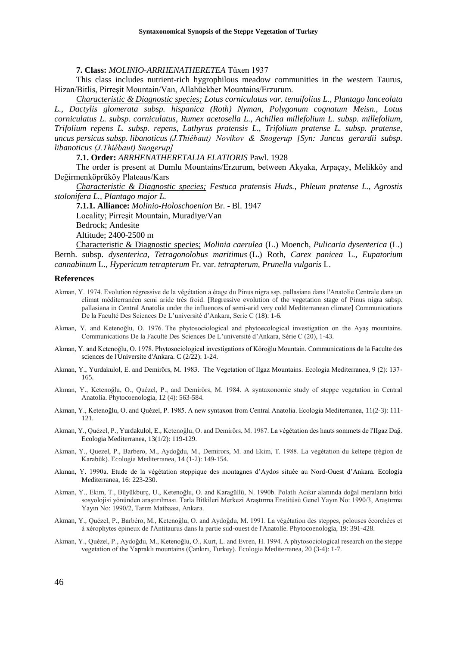**7. Class:** *MOLINIO-ARRHENATHERETEA* Tüxen 1937

This class includes nutrient-rich hygrophilous meadow communities in the western Taurus, Hizan/Bitlis, Pirreşit Mountain/Van, Allahüekber Mountains/Erzurum.

*Characteristic & Diagnostic species; Lotus corniculatus var. tenuifolius L., Plantago lanceolata L., Dactylis glomerata subsp. hispanica (Roth) Nyman, Polygonum cognatum Meisn., Lotus corniculatus L. subsp. corniculatus, Rumex acetosella L., Achillea millefolium L. subsp. millefolium, Trifolium repens L. subsp. repens, Lathyrus pratensis L., Trifolium pratense L. subsp. pratense, uncus persicus subsp. libanoticus (J.Thiébaut) Novikov & Snogerup [Syn: Juncus gerardii subsp. libanoticus (J.Thiébaut) Snogerup]*

**7.1. Order:** *ARRHENATHERETALIA ELATIORIS* Pawl. 1928

The order is present at Dumlu Mountains/Erzurum, between Akyaka, Arpaçay, Melikköy and Değirmenköprüköy Plateaus/Kars

*Characteristic & Diagnostic species; Festuca pratensis Huds., Phleum pratense L., Agrostis stolonifera L., Plantago major L.*

**7.1.1. Alliance:** *Molinio-Holoschoenion* Br. - Bl. 1947 Locality; Pirreşit Mountain, Muradiye/Van Bedrock; Andesite Altitude; 2400-2500 m

Characteristic & Diagnostic species; *Molinia caerulea* (L.) Moench*, Pulicaria dysenterica* (L.) Bernh. subsp. *dysenterica, Tetragonolobus maritimus* (L.) Roth*, Carex panicea* L.*, Eupatorium cannabinum* L.*, Hypericum tetrapterum* Fr. var. *tetrapterum, Prunella vulgaris* L.

#### **References**

- Akman, Y. 1974. Evolution régressive de la végétation a étage du Pinus nigra ssp. pallasiana dans l'Anatolie Centrale dans un climat méditerranéen semi aride très froid. [Regressive evolution of the vegetation stage of Pinus nigra subsp. pallasiana in Central Anatolia under the influences of semi-arid very cold Mediterranean climate] Communications De la Faculté Des Sciences De L'université d'Ankara, Serie С (18): 1-6.
- Akman, Y. and Ketenoğlu, O. 1976. The phytosociological and phytoecological investigation on the Ayaş mountains. Communications De la Faculté Des Sciences De L'université d'Ankara, Série C (20), 1-43.
- Akman, Y. and Ketenoğlu, O. 1978. Phytosociological investigations of Köroğlu Mountain. Communications de la Faculte des sciences de l'Universite d'Ankara. C (2/22): 1-24.
- Akman, Y., Yurdakulol, E. and Demirörs, M. 1983. The Vegetation of Ilgaz Mountains. Ecologia Mediterranea, 9 (2): 137- 165.
- Akman, Y., Ketenoğlu, O., Quézel, P., and Demirörs, M. 1984. A syntaxonomic study of steppe vegetation in Central Anatolia. Phytocoenologia, 12 (4): 563-584.
- Akman, Y., Ketenoğlu, O. and Quézel, P. 1985. A new syntaxon from Central Anatolia. Ecologia Mediterranea, 11(2-3): 111- 121.
- Akman, Y., Quézel, P., Yurdakulol, E., Ketenoğlu, O. and Demirörs, M. 1987. La végétation des hauts sommets de l'IIgaz Dağ. Ecologia Mediterranea, 13(1/2): 119-129.
- Akman, Y., Quezel, P., Barbero, M., Aydoğdu, M., Demirors, M. and Ekim, T. 1988. La végétation du keltepe (région de Karabük). Ecologia Mediterranea, 14 (1-2): 149-154.
- Akman, Y. 1990a. Etude de la végétation steppique des montagnes d'Aydos située au Nord-Ouest d'Ankara. Ecologia Mediterranea, 16: 223-230.
- Akman, Y., Ekim, T., Büyükburç, U., Ketenoğlu, O. and Karagüllü, N. 1990b. Polatlı Acıkır alanında doğal meraların bitki sosyolojisi yönünden araştırılması. Tarla Bitkileri Merkezi Araştırma Enstitüsü Genel Yayın No: 1990/3, Araştırma Yayın No: 1990/2, Tarım Matbaası, Ankara.
- Akman, Y., Quézel, P., Barbéro, M., Ketenoğlu, O. and Aydoğdu, M. 1991. La végétation des steppes, pelouses écorchées et à xérophytes épineux de l'Antitaurus dans la partie sud-ouest de l'Anatolie. Phytocoenologia, 19: 391-428.
- Akman, Y., Quézel, P., Aydoğdu, M., Ketenoğlu, O., Kurt, L. and Evren, H. 1994. A phytosociological research on the steppe vegetation of the Yapraklı mountains (Çankırı, Turkey). Ecologia Mediterranea, 20 (3-4): 1-7.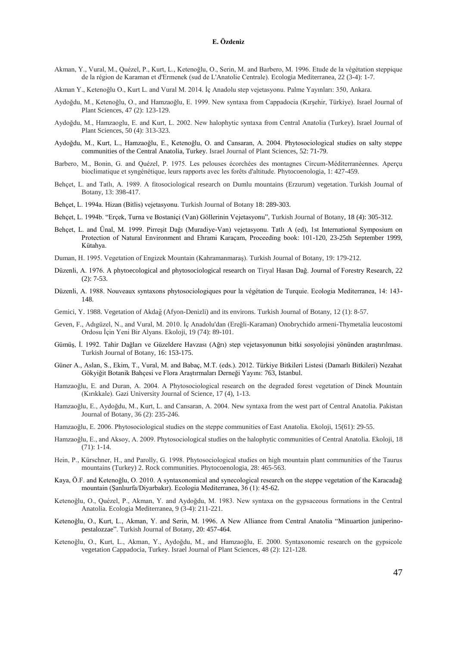- Akman, Y., Vural, M., Quézel, P., Kurt, L., Ketenoğlu, O., Serin, M. and Barbero, M. 1996. Etude de la végétation steppique de la région de Karaman et d'Ermenek (sud de L'Anatolie Centrale). Ecologia Mediterranea, 22 (3-4): 1-7.
- Akman Y., Ketenoğlu O., Kurt L. and Vural M. 2014. İç Anadolu step vejetasyonu. Palme Yayınları: 350, Ankara.
- Aydoğdu, M., Ketenoğlu, O., and Hamzaoğlu, E. 1999. New syntaxa from Cappadocia (Kırşehir, Türkiye). Israel Journal of Plant Sciences, 47 (2): 123-129.
- Aydoğdu, M., Hamzaoglu, E. and Kurt, L. 2002. New halophytic syntaxa from Central Anatolia (Turkey). Israel Journal of Plant Sciences, 50 (4): 313-323.
- Aydoğdu, M., Kurt, L., Hamzaoğlu, E., Ketenoğlu, O. and Cansaran, A. 2004. Phytosociological studies on salty steppe communities of the Central Anatolia, Turkey. Israel Journal of Plant Sciences, 52: 71-79.
- Barbero, M., Bonin, G. and Quézel, P. 1975. Les pelouses écorchées des montagnes Circum-Méditerranèennes. Aperçu bioclimatique et syngénétique, leurs rapports avec les forêts d'altitude. Phytocoenologia, 1: 427-459.
- Behçet, L. and Tatlı, A. 1989. A fitosociological research on Dumlu mountains (Erzurum) vegetation. Turkish Journal of Botany, 13: 398-417.
- Behçet, L. 1994a. Hizan (Bitlis) vejetasyonu. Turkish Journal of Botany 18: 289-303.
- Behçet, L. 1994b. "Erçek, Turna ve Bostaniçi (Van) Göllerinin Vejetasyonu", Turkish Journal of Botany, 18 (4): 305-312.
- Behçet, L. and Ünal, M. 1999. Pirreşit Dağı (Muradiye-Van) vejetasyonu. Tatlı A (ed), 1st International Symposium on Protection of Natural Environment and Ehrami Karaçam, Proceeding book: 101-120, 23-25th September 1999, Kütahya.
- Duman, H. 1995. Vegetation of Engizek Mountain (Kahramanmaraş). Turkish Journal of Botany, 19: 179-212.
- Düzenli, A. 1976. A phytoecological and phytosociological research on Tiryal Hasan Dağ. Journal of Forestry Research, 22 (2): 7-53.
- Düzenli, A. 1988. Nouveaux syntaxons phytosociologiques pour la végétation de Turquie. Ecologia Mediterranea, 14: 143- 148.
- Gemici, Y. 1988. Vegetation of Akdağ (Afyon-Denizli) and its environs. Turkish Journal of Botany, 12 (1): 8-57.
- Geven, F., Adıgüzel, N., and Vural, M. 2010. İç Anadolu'dan (Ereğli-Karaman) Onobrychido armeni-Thymetalia leucostomi Ordosu İçin Yeni Bir Alyans. Ekoloji, 19 (74): 89-101.
- Gümüş, İ. 1992. Tahir Dağları ve Güzeldere Havzası (Ağrı) step vejetasyonunun bitki sosyolojisi yönünden araştırılması. Turkish Journal of Botany, 16: 153-175.
- Güner A., Aslan, S., Ekim, T., Vural, M. and Babaç, M.T. (eds.). 2012. Türkiye Bitkileri Listesi (Damarlı Bitkileri) Nezahat Gökyiğit Botanik Bahçesi ve Flora Araştırmaları Derneği Yayını: 763, Istanbul.
- Hamzaoğlu, E. and Duran, A. 2004. A Phytosociological research on the degraded forest vegetation of Dinek Mountain (Kırıkkale). Gazi University Journal of Science, 17 (4), 1-13.
- Hamzaoğlu, E., Aydoğdu, M., Kurt, L. and Cansaran, A. 2004. New syntaxa from the west part of Central Anatolia. Pakistan Journal of Botany, 36 (2): 235-246.
- Hamzaoğlu, E. 2006. Phytosociological studies on the steppe communities of East Anatolia. Ekoloji, 15(61): 29-55.
- Hamzaoğlu, E., and Aksoy, A. 2009. Phytosociological studies on the halophytic communities of Central Anatolia. Ekoloji, 18 (71): 1-14.
- Hein, P., Kürschner, H., and Parolly, G. 1998. Phytosociological studies on high mountain plant communities of the Taurus mountains (Turkey) 2. Rock communities. Phytocoenologia, 28: 465-563.
- Kaya, Ö.F. and Ketenoğlu, O. 2010. A syntaxonomical and synecological research on the steppe vegetation of the Karacadağ mountain (Şanlıurfa/Diyarbakır). Ecologia Mediterranea, 36 (1): 45-62.
- Ketenoğlu, O., Quézel, P., Akman, Y. and Aydoğdu, M. 1983. New syntaxa on the gypsaceous formations in the Central Anatolia. Ecologia Mediterranea, 9 (3-4): 211-221.
- Ketenoğlu, O., Kurt, L., Akman, Y. and Serin, M. 1996. A New Alliance from Central Anatolia "Minuartion juniperinopestalozzae". Turkish Journal of Botany, 20: 457-464.
- Ketenoğlu, O., Kurt, L., Akman, Y., Aydoğdu, M., and Hamzaoğlu, E. 2000. Syntaxonomic research on the gypsicole vegetation Cappadocia, Turkey. Israel Journal of Plant Sciences, 48 (2): 121-128.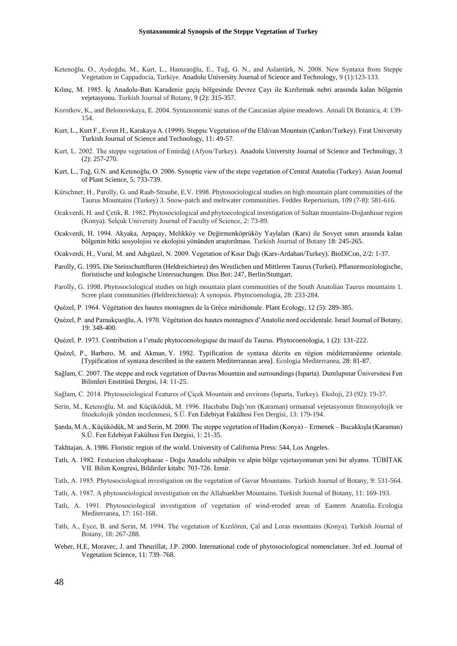- Ketenoğlu, O., Aydoğdu, M., Kurt, L., Hamzaoğlu, E., Tuğ, G. N., and Aslantürk, N. 2008. New Syntaxa from Steppe Vegetation in Cappadocia, Turkiye. Anadolu University Journal of Science and Technology, 9 (1):123-133.
- Kılınç, M. 1985. İç Anadolu-Batı Karadeniz geçiş bölgesinde Devrez Çayı ile Kızılırmak nehri arasında kalan bölgenin vejetasyonu. Turkish Journal of Botany, 9 (2): 315-357.
- Korotkov, K., and Belonovskaya, E. 2004. Syntaxonomic status of the Caucasian alpine meadows. Annali Di Botanica, 4: 139- 154.
- Kurt, L., Kurt F., Evren H., Karakaya A. (1999). Steppic Vegetation of the Eldivan Mountain (Çankırı/Turkey). Fırat University Turkish Journal of Science and Technology, 11: 49-57.
- Kurt, L. 2002. The steppe vegetation of Emirdağ (Afyon/Turkey). Anadolu University Journal of Science and Technology, 3 (2): 257-270.
- Kurt, L., Tuğ, G.N. and Ketenoğlu, O. 2006. Synoptic view of the stepe vegetation of Central Anatolia (Turkey). Asian Journal of Plant Science, 5: 733-739.
- Kürschner, H., Parolly, G. and Raab‐Straube, E.V. 1998. Phytosociological studies on high mountain plant communities of the Taurus Mountains (Turkey) 3. Snow‐patch and meltwater communities. Feddes Repertorium, 109 (7‐8): 581-616.
- Ocakverdi, H. and Çetik, R. 1982. Phytosociological and phytoecological investigation of Sultan mountains-Doğanhisar region (Konya). Selçuk University Journal of Faculty of Science, 2: 73-89.
- Ocakverdi, H. 1994. Akyaka, Arpaçay, Melikköy ve Değirmenköprüköy Yaylaları (Kars) ile Sovyet sınırı arasında kalan bölgenin bitki sosyolojisi ve ekolojisi yönünden araştırılması. Turkish Journal of Botany 18: 245-265.
- Ocakverdi, H., Vural, M. and Adıgüzel, N. 2009. Vegetation of Kısır Dağı (Kars-Ardahan/Turkey). BioDiCon, 2/2: 1-37.
- Parolly, G. 1995. Die Steinschuttfluren (Heldreichietea) des Westlichen und Mittleren Taurus (Turkei). Pflanzensoziologische, floristische und kologische Untersuchungen. Diss Bot: 247, Berlin/Stuttgart.
- Parolly, G. 1998. Phytosociological studies on high mountain plant communities of the South Anatolian Taurus mountains 1. Scree plant communities (Heldreichietea): A synopsis. Phytocoenologia, 28: 233-284.
- Quézel, P. 1964. Végétation des hautes montagnes de la Grèce méridionale. Plant Ecology, 12 (5): 289-385.
- Quézel, P. and Pamukçuoğlu, A. 1970. Végétation des hautes montagnes d'Anatolie nord occidentale. Israel Journal of Botany, 19: 348-400.
- Quézel, P. 1973. Contribution a l'etude phytocoenologique du masif du Taurus. Phytocoenologia, 1 (2): 131-222.
- Quézel, P., Barbero, M. and Akman, Y. 1992. Typification de syntaxa décrits en région méditerranéenne orientale. [Typification of syntaxa described in the eastern Mediterranean area]. Ecologia Mediterranea, 28: 81-87.
- Sağlam, C. 2007. The steppe and rock vegetation of Davras Mountain and surroundings (Isparta). Dumlupınar Üniversitesi Fen Bilimleri Enstitüsü Dergisi, 14: 11-25.
- Sağlam, C. 2014. Phytosociological Features of Çiçek Mountain and environs (Isparta, Turkey). Ekoloji, 23 (92): 19-37.
- Serin, M., Ketenoğlu, M. and Küçüködük, M. 1996. Hacıbaba Dağı'nın (Karaman) ormansal vejetasyonun fitososyolojik ve fitoekolojik yönden incelenmesi, S.Ü. Fen Edebiyat Fakültesi Fen Dergisi, 13: 179-194.
- Şanda, M.A., Küçüködük, M. and Serin, M. 2000. The steppe vegetation of Hadim (Konya) Ermenek Bucakkışla (Karaman) S.Ü. Fen Edebiyat Fakültesi Fen Dergisi, 1: 21-35.
- Takhtajan, A. 1986. Floristic region of the world. University of California Press: 544, Los Angeles.
- Tatlı, A. 1982. Festucion chalcophaeae Doğu Anadolu subalpin ve alpin bölge vejetasyonunun yeni bir alyansı. TÜBİTAK VII. Bilim Kongresi, Bildiriler kitabı: 703-726. İzmir.
- Tatlı, A. 1985. Phytosociological investigation on the vegetation of Gavur Mountains. Turkish Journal of Botany, 9: 531-564.
- Tatlı, A. 1987. A phytosociological investigation on the Allahuekber Mountains. Turkish Journal of Botany, 11: 169-193.
- Tatlı, A. 1991. Phytosociological investigation of vegetation of wind-eroded areas of Eastern Anatolia. Ecologia Mediterranea, 17: 161-168.
- Tatlı, A., Eyce, B. and Serin, M. 1994. The vegetation of Kızılören, Çal and Loras mountains (Konya). Turkish Journal of Botany, 18: 267-288.
- Weber, H.E, Moravec, J. and Theurillat, J.P. 2000. International code of phytosociological nomenclature. 3rd ed. Journal of Vegetation Science, 11: 739–768.